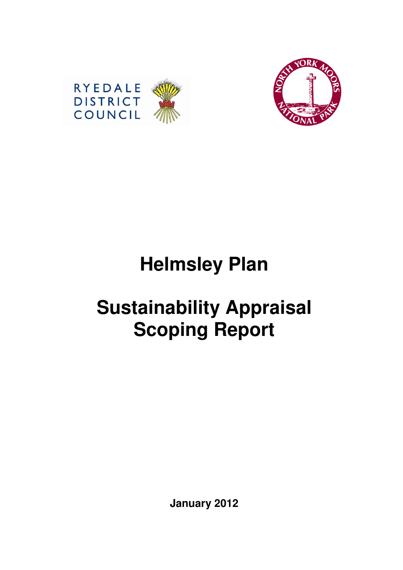



# **Helmsley Plan**

# **Sustainability Appraisal Scoping Report**

**January 2012**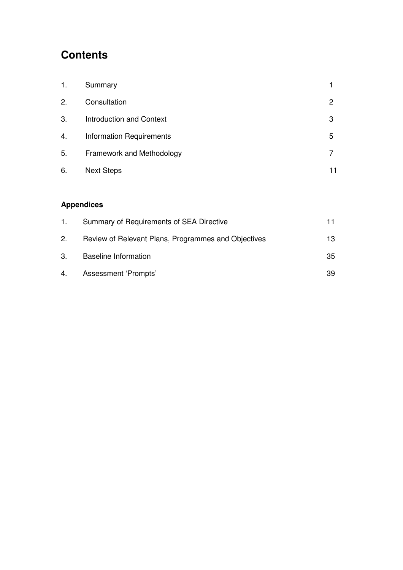# **Contents**

| 1. | Summary                         |   |
|----|---------------------------------|---|
| 2. | Consultation                    | 2 |
| 3. | <b>Introduction and Context</b> | 3 |
| 4. | <b>Information Requirements</b> | 5 |
| 5. | Framework and Methodology       |   |
| 6. | <b>Next Steps</b>               |   |

## **Appendices**

| $1_{\cdot}$ | Summary of Requirements of SEA Directive            |     |
|-------------|-----------------------------------------------------|-----|
| 2.          | Review of Relevant Plans, Programmes and Objectives | 13. |
| 3.          | <b>Baseline Information</b>                         | 35  |
|             | 4. Assessment 'Prompts'                             | 39  |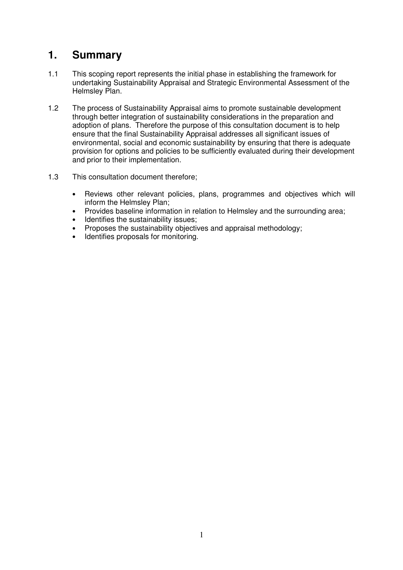## **1. Summary**

- 1.1 This scoping report represents the initial phase in establishing the framework for undertaking Sustainability Appraisal and Strategic Environmental Assessment of the Helmsley Plan.
- 1.2 The process of Sustainability Appraisal aims to promote sustainable development through better integration of sustainability considerations in the preparation and adoption of plans. Therefore the purpose of this consultation document is to help ensure that the final Sustainability Appraisal addresses all significant issues of environmental, social and economic sustainability by ensuring that there is adequate provision for options and policies to be sufficiently evaluated during their development and prior to their implementation.
- 1.3 This consultation document therefore;
	- Reviews other relevant policies, plans, programmes and objectives which will inform the Helmsley Plan;
	- Provides baseline information in relation to Helmsley and the surrounding area;<br>• Identifies the sustainability issues:
	- Identifies the sustainability issues;
	- Proposes the sustainability objectives and appraisal methodology;
	- Identifies proposals for monitoring.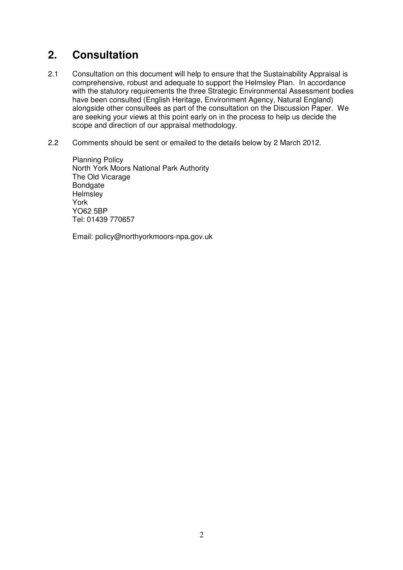## **2. Consultation**

- 2.1 Consultation on this document will help to ensure that the Sustainability Appraisal is comprehensive, robust and adequate to support the Helmsley Plan. In accordance with the statutory requirements the three Strategic Environmental Assessment bodies have been consulted (English Heritage, Environment Agency, Natural England) alongside other consultees as part of the consultation on the Discussion Paper. We are seeking your views at this point early on in the process to help us decide the scope and direction of our appraisal methodology.
- 2.2 Comments should be sent or emailed to the details below by 2 March 2012.

 Planning Policy North York Moors National Park Authority The Old Vicarage Bondgate **Helmsley**  York YO62 5BP Tel: 01439 770657

Email: policy@northyorkmoors-npa.gov.uk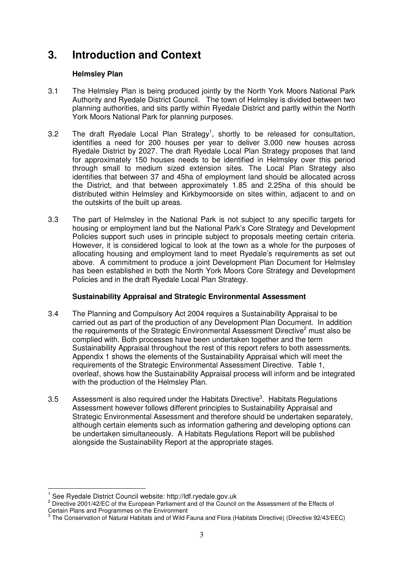## **3. Introduction and Context**

#### **Helmsley Plan**

- 3.1 The Helmsley Plan is being produced jointly by the North York Moors National Park Authority and Ryedale District Council. The town of Helmsley is divided between two planning authorities, and sits partly within Ryedale District and partly within the North York Moors National Park for planning purposes.
- 3.2 The draft Ryedale Local Plan Strategy<sup>1</sup>, shortly to be released for consultation, identifies a need for 200 houses per year to deliver 3,000 new houses across Ryedale District by 2027. The draft Ryedale Local Plan Strategy proposes that land for approximately 150 houses needs to be identified in Helmsley over this period through small to medium sized extension sites. The Local Plan Strategy also identifies that between 37 and 45ha of employment land should be allocated across the District, and that between approximately 1.85 and 2.25ha of this should be distributed within Helmsley and Kirkbymoorside on sites within, adjacent to and on the outskirts of the built up areas.
- 3.3 The part of Helmsley in the National Park is not subject to any specific targets for housing or employment land but the National Park's Core Strategy and Development Policies support such uses in principle subject to proposals meeting certain criteria. However, it is considered logical to look at the town as a whole for the purposes of allocating housing and employment land to meet Ryedale's requirements as set out above. A commitment to produce a joint Development Plan Document for Helmsley has been established in both the North York Moors Core Strategy and Development Policies and in the draft Ryedale Local Plan Strategy.

#### **Sustainability Appraisal and Strategic Environmental Assessment**

- 3.4 The Planning and Compulsory Act 2004 requires a Sustainability Appraisal to be carried out as part of the production of any Development Plan Document. In addition the requirements of the Strategic Environmental Assessment Directive<sup>2</sup> must also be complied with. Both processes have been undertaken together and the term Sustainability Appraisal throughout the rest of this report refers to both assessments. Appendix 1 shows the elements of the Sustainability Appraisal which will meet the requirements of the Strategic Environmental Assessment Directive. Table 1, overleaf, shows how the Sustainability Appraisal process will inform and be integrated with the production of the Helmsley Plan.
- 3.5 Assessment is also required under the Habitats Directive<sup>3</sup>. Habitats Regulations Assessment however follows different principles to Sustainability Appraisal and Strategic Environmental Assessment and therefore should be undertaken separately, although certain elements such as information gathering and developing options can be undertaken simultaneously. A Habitats Regulations Report will be published alongside the Sustainability Report at the appropriate stages.

 $\overline{a}$ 

<sup>&</sup>lt;sup>1</sup> See Ryedale District Council website: http://ldf.ryedale.gov.uk

<sup>&</sup>lt;sup>2</sup> Directive 2001/42/EC of the European Parliament and of the Council on the Assessment of the Effects of

Certain Plans and Programmes on the Environment<br><sup>3</sup> The Conservation of Natural Habitats and of Wild Fauna and Flora (Habitats Directive) (Directive 92/43/EEC)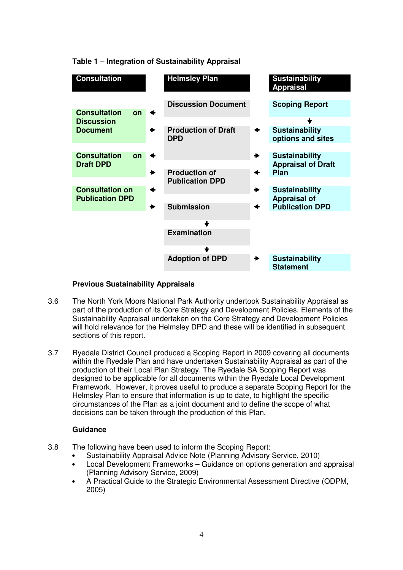**Table 1 – Integration of Sustainability Appraisal** 

| <b>Consultation</b>                           | <b>Helmsley Plan</b>                     |   | <b>Sustainability</b><br><b>Appraisal</b>          |
|-----------------------------------------------|------------------------------------------|---|----------------------------------------------------|
| <b>Consultation</b><br>on                     | <b>Discussion Document</b>               |   | <b>Scoping Report</b>                              |
| <b>Discussion</b>                             |                                          |   |                                                    |
| <b>Document</b>                               | <b>Production of Draft</b><br><b>DPD</b> | ↞ | <b>Sustainability</b><br>options and sites         |
|                                               |                                          |   |                                                    |
| <b>Consultation</b><br>on<br><b>Draft DPD</b> |                                          |   | <b>Sustainability</b><br><b>Appraisal of Draft</b> |
|                                               | <b>Production of</b>                     |   | Plan                                               |
|                                               | <b>Publication DPD</b>                   |   |                                                    |
| <b>Consultation on</b>                        |                                          |   | <b>Sustainability</b>                              |
| <b>Publication DPD</b>                        |                                          |   | <b>Appraisal of</b>                                |
|                                               | <b>Submission</b>                        | ✦ | <b>Publication DPD</b>                             |
|                                               |                                          |   |                                                    |
|                                               |                                          |   |                                                    |
|                                               | <b>Examination</b>                       |   |                                                    |
|                                               |                                          |   |                                                    |
|                                               | <b>Adoption of DPD</b>                   |   | <b>Sustainability</b><br><b>Statement</b>          |

#### **Previous Sustainability Appraisals**

- 3.6 The North York Moors National Park Authority undertook Sustainability Appraisal as part of the production of its Core Strategy and Development Policies. Elements of the Sustainability Appraisal undertaken on the Core Strategy and Development Policies will hold relevance for the Helmsley DPD and these will be identified in subsequent sections of this report.
- 3.7 Ryedale District Council produced a Scoping Report in 2009 covering all documents within the Ryedale Plan and have undertaken Sustainability Appraisal as part of the production of their Local Plan Strategy. The Ryedale SA Scoping Report was designed to be applicable for all documents within the Ryedale Local Development Framework. However, it proves useful to produce a separate Scoping Report for the Helmsley Plan to ensure that information is up to date, to highlight the specific circumstances of the Plan as a joint document and to define the scope of what decisions can be taken through the production of this Plan.

#### **Guidance**

- 3.8 The following have been used to inform the Scoping Report:
	- Sustainability Appraisal Advice Note (Planning Advisory Service, 2010)
	- Local Development Frameworks Guidance on options generation and appraisal (Planning Advisory Service, 2009)
	- A Practical Guide to the Strategic Environmental Assessment Directive (ODPM, 2005)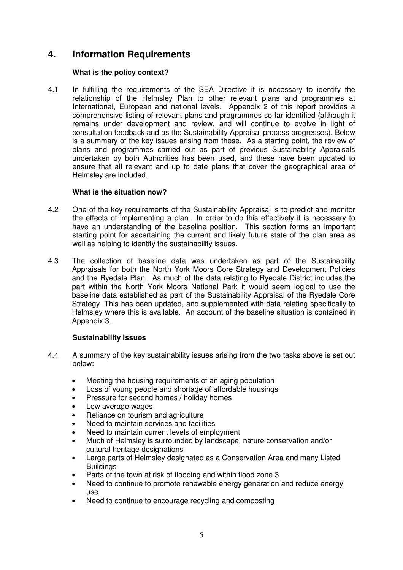## **4. Information Requirements**

#### **What is the policy context?**

4.1 In fulfilling the requirements of the SEA Directive it is necessary to identify the relationship of the Helmsley Plan to other relevant plans and programmes at International, European and national levels. Appendix 2 of this report provides a comprehensive listing of relevant plans and programmes so far identified (although it remains under development and review, and will continue to evolve in light of consultation feedback and as the Sustainability Appraisal process progresses). Below is a summary of the key issues arising from these. As a starting point, the review of plans and programmes carried out as part of previous Sustainability Appraisals undertaken by both Authorities has been used, and these have been updated to ensure that all relevant and up to date plans that cover the geographical area of Helmsley are included.

#### **What is the situation now?**

- 4.2 One of the key requirements of the Sustainability Appraisal is to predict and monitor the effects of implementing a plan. In order to do this effectively it is necessary to have an understanding of the baseline position. This section forms an important starting point for ascertaining the current and likely future state of the plan area as well as helping to identify the sustainability issues.
- 4.3 The collection of baseline data was undertaken as part of the Sustainability Appraisals for both the North York Moors Core Strategy and Development Policies and the Ryedale Plan. As much of the data relating to Ryedale District includes the part within the North York Moors National Park it would seem logical to use the baseline data established as part of the Sustainability Appraisal of the Ryedale Core Strategy. This has been updated, and supplemented with data relating specifically to Helmsley where this is available. An account of the baseline situation is contained in Appendix 3.

#### **Sustainability Issues**

- 4.4 A summary of the key sustainability issues arising from the two tasks above is set out below:
	- Meeting the housing requirements of an aging population
	- Loss of young people and shortage of affordable housings
	- Pressure for second homes / holiday homes
	- Low average wages
	- Reliance on tourism and agriculture
	- Need to maintain services and facilities
	- Need to maintain current levels of employment
	- Much of Helmsley is surrounded by landscape, nature conservation and/or cultural heritage designations
	- Large parts of Helmsley designated as a Conservation Area and many Listed **Buildings**
	- Parts of the town at risk of flooding and within flood zone 3
	- Need to continue to promote renewable energy generation and reduce energy use
	- Need to continue to encourage recycling and composting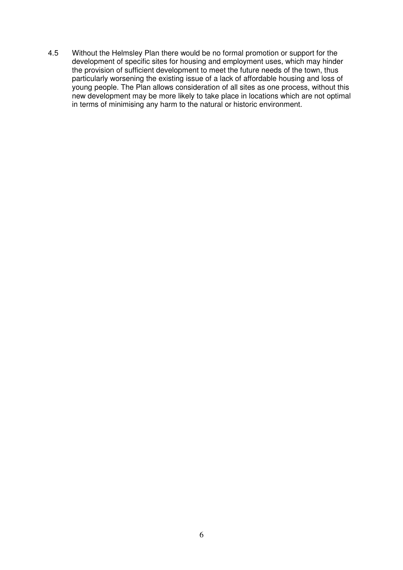4.5 Without the Helmsley Plan there would be no formal promotion or support for the development of specific sites for housing and employment uses, which may hinder the provision of sufficient development to meet the future needs of the town, thus particularly worsening the existing issue of a lack of affordable housing and loss of young people. The Plan allows consideration of all sites as one process, without this new development may be more likely to take place in locations which are not optimal in terms of minimising any harm to the natural or historic environment.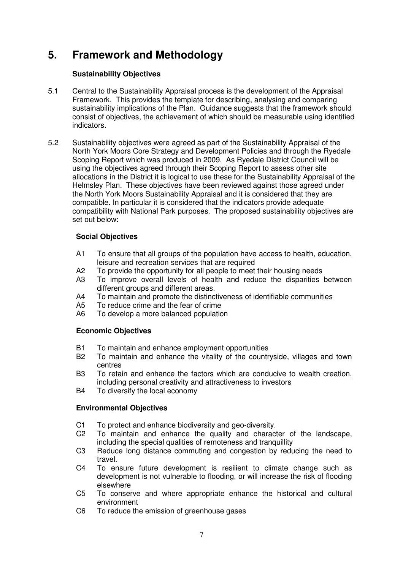# **5. Framework and Methodology**

#### **Sustainability Objectives**

- 5.1 Central to the Sustainability Appraisal process is the development of the Appraisal Framework. This provides the template for describing, analysing and comparing sustainability implications of the Plan. Guidance suggests that the framework should consist of objectives, the achievement of which should be measurable using identified indicators.
- 5.2 Sustainability objectives were agreed as part of the Sustainability Appraisal of the North York Moors Core Strategy and Development Policies and through the Ryedale Scoping Report which was produced in 2009. As Ryedale District Council will be using the objectives agreed through their Scoping Report to assess other site allocations in the District it is logical to use these for the Sustainability Appraisal of the Helmsley Plan. These objectives have been reviewed against those agreed under the North York Moors Sustainability Appraisal and it is considered that they are compatible. In particular it is considered that the indicators provide adequate compatibility with National Park purposes. The proposed sustainability objectives are set out below:

#### **Social Objectives**

- A1 To ensure that all groups of the population have access to health, education, leisure and recreation services that are required
- A2 To provide the opportunity for all people to meet their housing needs
- A3 To improve overall levels of health and reduce the disparities between different groups and different areas.
- A4 To maintain and promote the distinctiveness of identifiable communities
- A5 To reduce crime and the fear of crime
- A6 To develop a more balanced population

#### **Economic Objectives**

- B1 To maintain and enhance employment opportunities
- B2 To maintain and enhance the vitality of the countryside, villages and town centres
- B3 To retain and enhance the factors which are conducive to wealth creation, including personal creativity and attractiveness to investors
- B4 To diversify the local economy

#### **Environmental Objectives**

- C1 To protect and enhance biodiversity and geo-diversity.
- C2 To maintain and enhance the quality and character of the landscape, including the special qualities of remoteness and tranquillity
- C3 Reduce long distance commuting and congestion by reducing the need to travel.
- C4 To ensure future development is resilient to climate change such as development is not vulnerable to flooding, or will increase the risk of flooding elsewhere
- C5 To conserve and where appropriate enhance the historical and cultural environment
- C6 To reduce the emission of greenhouse gases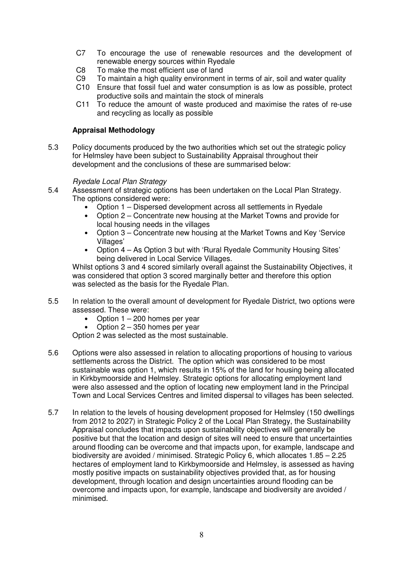- C7 To encourage the use of renewable resources and the development of renewable energy sources within Ryedale
- C8 To make the most efficient use of land
- C9 To maintain a high quality environment in terms of air, soil and water quality
- C10 Ensure that fossil fuel and water consumption is as low as possible, protect productive soils and maintain the stock of minerals
- C11 To reduce the amount of waste produced and maximise the rates of re-use and recycling as locally as possible

#### **Appraisal Methodology**

5.3 Policy documents produced by the two authorities which set out the strategic policy for Helmsley have been subject to Sustainability Appraisal throughout their development and the conclusions of these are summarised below:

#### Ryedale Local Plan Strategy

- 5.4 Assessment of strategic options has been undertaken on the Local Plan Strategy. The options considered were:
	- Option 1 Dispersed development across all settlements in Ryedale
	- Option 2 Concentrate new housing at the Market Towns and provide for local housing needs in the villages
	- Option 3 Concentrate new housing at the Market Towns and Key 'Service Villages'
	- Option 4 As Option 3 but with 'Rural Ryedale Community Housing Sites' being delivered in Local Service Villages.

Whilst options 3 and 4 scored similarly overall against the Sustainability Objectives, it was considered that option 3 scored marginally better and therefore this option was selected as the basis for the Ryedale Plan.

- 5.5 In relation to the overall amount of development for Ryedale District, two options were assessed. These were:
	- Option  $1 200$  homes per year
	- Option  $2 350$  homes per year

Option 2 was selected as the most sustainable.

- 5.6 Options were also assessed in relation to allocating proportions of housing to various settlements across the District. The option which was considered to be most sustainable was option 1, which results in 15% of the land for housing being allocated in Kirkbymoorside and Helmsley. Strategic options for allocating employment land were also assessed and the option of locating new employment land in the Principal Town and Local Services Centres and limited dispersal to villages has been selected.
- 5.7 In relation to the levels of housing development proposed for Helmsley (150 dwellings from 2012 to 2027) in Strategic Policy 2 of the Local Plan Strategy, the Sustainability Appraisal concludes that impacts upon sustainability objectives will generally be positive but that the location and design of sites will need to ensure that uncertainties around flooding can be overcome and that impacts upon, for example, landscape and biodiversity are avoided / minimised. Strategic Policy 6, which allocates 1.85 – 2.25 hectares of employment land to Kirkbymoorside and Helmsley, is assessed as having mostly positive impacts on sustainability objectives provided that, as for housing development, through location and design uncertainties around flooding can be overcome and impacts upon, for example, landscape and biodiversity are avoided / minimised.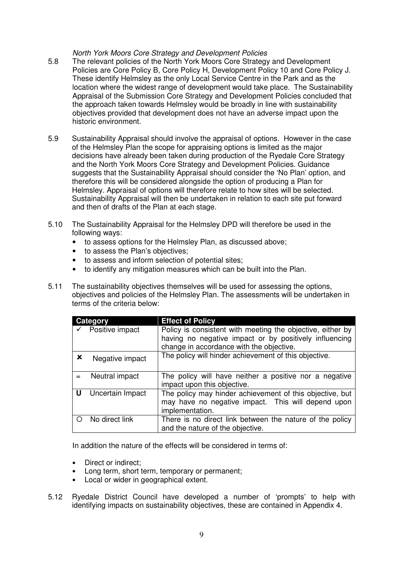North York Moors Core Strategy and Development Policies

- 5.8 The relevant policies of the North York Moors Core Strategy and Development Policies are Core Policy B, Core Policy H, Development Policy 10 and Core Policy J. These identify Helmsley as the only Local Service Centre in the Park and as the location where the widest range of development would take place. The Sustainability Appraisal of the Submission Core Strategy and Development Policies concluded that the approach taken towards Helmsley would be broadly in line with sustainability objectives provided that development does not have an adverse impact upon the historic environment.
- 5.9 Sustainability Appraisal should involve the appraisal of options. However in the case of the Helmsley Plan the scope for appraising options is limited as the major decisions have already been taken during production of the Ryedale Core Strategy and the North York Moors Core Strategy and Development Policies. Guidance suggests that the Sustainability Appraisal should consider the 'No Plan' option, and therefore this will be considered alongside the option of producing a Plan for Helmsley. Appraisal of options will therefore relate to how sites will be selected. Sustainability Appraisal will then be undertaken in relation to each site put forward and then of drafts of the Plan at each stage.
- 5.10 The Sustainability Appraisal for the Helmsley DPD will therefore be used in the following ways:
	- to assess options for the Helmsley Plan, as discussed above;
	- to assess the Plan's objectives;
	- to assess and inform selection of potential sites;
	- to identify any mitigation measures which can be built into the Plan.
- 5.11 The sustainability objectives themselves will be used for assessing the options, objectives and policies of the Helmsley Plan. The assessments will be undertaken in terms of the criteria below:

|             | Category         | <b>Effect of Policy</b>                                                                                                                                          |
|-------------|------------------|------------------------------------------------------------------------------------------------------------------------------------------------------------------|
|             | Positive impact  | Policy is consistent with meeting the objective, either by<br>having no negative impact or by positively influencing<br>change in accordance with the objective. |
| $\mathbf x$ | Negative impact  | The policy will hinder achievement of this objective.                                                                                                            |
|             | Neutral impact   | The policy will have neither a positive nor a negative<br>impact upon this objective.                                                                            |
| U           | Uncertain Impact | The policy may hinder achievement of this objective, but<br>may have no negative impact. This will depend upon<br>implementation.                                |
|             | No direct link   | There is no direct link between the nature of the policy<br>and the nature of the objective.                                                                     |

In addition the nature of the effects will be considered in terms of:

- Direct or indirect;
- Long term, short term, temporary or permanent;
- Local or wider in geographical extent.
- 5.12 Ryedale District Council have developed a number of 'prompts' to help with identifying impacts on sustainability objectives, these are contained in Appendix 4.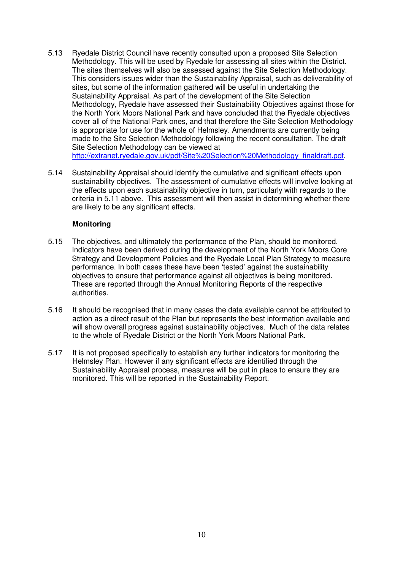- 5.13 Ryedale District Council have recently consulted upon a proposed Site Selection Methodology. This will be used by Ryedale for assessing all sites within the District. The sites themselves will also be assessed against the Site Selection Methodology. This considers issues wider than the Sustainability Appraisal, such as deliverability of sites, but some of the information gathered will be useful in undertaking the Sustainability Appraisal. As part of the development of the Site Selection Methodology, Ryedale have assessed their Sustainability Objectives against those for the North York Moors National Park and have concluded that the Ryedale objectives cover all of the National Park ones, and that therefore the Site Selection Methodology is appropriate for use for the whole of Helmsley. Amendments are currently being made to the Site Selection Methodology following the recent consultation. The draft Site Selection Methodology can be viewed at http://extranet.ryedale.gov.uk/pdf/Site%20Selection%20Methodology\_finaldraft.pdf.
- 5.14 Sustainability Appraisal should identify the cumulative and significant effects upon sustainability objectives. The assessment of cumulative effects will involve looking at the effects upon each sustainability objective in turn, particularly with regards to the criteria in 5.11 above. This assessment will then assist in determining whether there are likely to be any significant effects.

#### **Monitoring**

- 5.15 The objectives, and ultimately the performance of the Plan, should be monitored. Indicators have been derived during the development of the North York Moors Core Strategy and Development Policies and the Ryedale Local Plan Strategy to measure performance. In both cases these have been 'tested' against the sustainability objectives to ensure that performance against all objectives is being monitored. These are reported through the Annual Monitoring Reports of the respective authorities.
- 5.16 It should be recognised that in many cases the data available cannot be attributed to action as a direct result of the Plan but represents the best information available and will show overall progress against sustainability objectives. Much of the data relates to the whole of Ryedale District or the North York Moors National Park.
- 5.17 It is not proposed specifically to establish any further indicators for monitoring the Helmsley Plan. However if any significant effects are identified through the Sustainability Appraisal process, measures will be put in place to ensure they are monitored. This will be reported in the Sustainability Report.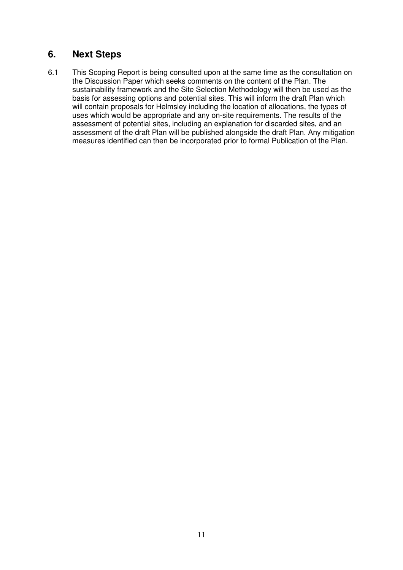## **6. Next Steps**

6.1 This Scoping Report is being consulted upon at the same time as the consultation on the Discussion Paper which seeks comments on the content of the Plan. The sustainability framework and the Site Selection Methodology will then be used as the basis for assessing options and potential sites. This will inform the draft Plan which will contain proposals for Helmsley including the location of allocations, the types of uses which would be appropriate and any on-site requirements. The results of the assessment of potential sites, including an explanation for discarded sites, and an assessment of the draft Plan will be published alongside the draft Plan. Any mitigation measures identified can then be incorporated prior to formal Publication of the Plan.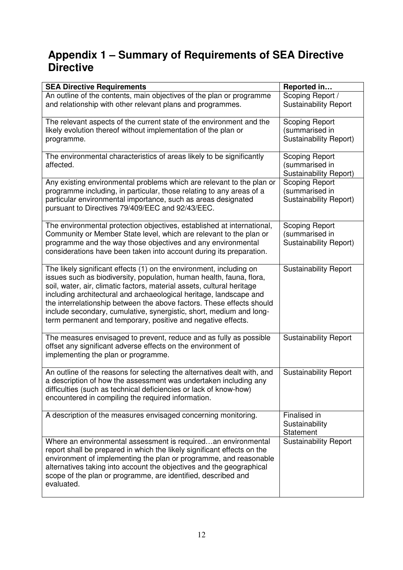# **Appendix 1 – Summary of Requirements of SEA Directive Directive**

| <b>SEA Directive Requirements</b>                                                                                                                                                                                                                                                                                                                                                                                                                                                                           | Reported in                                                              |
|-------------------------------------------------------------------------------------------------------------------------------------------------------------------------------------------------------------------------------------------------------------------------------------------------------------------------------------------------------------------------------------------------------------------------------------------------------------------------------------------------------------|--------------------------------------------------------------------------|
| An outline of the contents, main objectives of the plan or programme<br>and relationship with other relevant plans and programmes.                                                                                                                                                                                                                                                                                                                                                                          | Scoping Report /<br><b>Sustainability Report</b>                         |
| The relevant aspects of the current state of the environment and the<br>likely evolution thereof without implementation of the plan or<br>programme.                                                                                                                                                                                                                                                                                                                                                        | <b>Scoping Report</b><br>(summarised in<br><b>Sustainability Report)</b> |
| The environmental characteristics of areas likely to be significantly<br>affected.                                                                                                                                                                                                                                                                                                                                                                                                                          | <b>Scoping Report</b><br>(summarised in<br>Sustainability Report)        |
| Any existing environmental problems which are relevant to the plan or<br>programme including, in particular, those relating to any areas of a<br>particular environmental importance, such as areas designated<br>pursuant to Directives 79/409/EEC and 92/43/EEC.                                                                                                                                                                                                                                          | Scoping Report<br>(summarised in<br><b>Sustainability Report)</b>        |
| The environmental protection objectives, established at international,<br>Community or Member State level, which are relevant to the plan or<br>programme and the way those objectives and any environmental<br>considerations have been taken into account during its preparation.                                                                                                                                                                                                                         | <b>Scoping Report</b><br>(summarised in<br>Sustainability Report)        |
| The likely significant effects (1) on the environment, including on<br>issues such as biodiversity, population, human health, fauna, flora,<br>soil, water, air, climatic factors, material assets, cultural heritage<br>including architectural and archaeological heritage, landscape and<br>the interrelationship between the above factors. These effects should<br>include secondary, cumulative, synergistic, short, medium and long-<br>term permanent and temporary, positive and negative effects. | <b>Sustainability Report</b>                                             |
| The measures envisaged to prevent, reduce and as fully as possible<br>offset any significant adverse effects on the environment of<br>implementing the plan or programme.                                                                                                                                                                                                                                                                                                                                   | <b>Sustainability Report</b>                                             |
| An outline of the reasons for selecting the alternatives dealt with, and<br>a description of how the assessment was undertaken including any<br>difficulties (such as technical deficiencies or lack of know-how)<br>encountered in compiling the required information.                                                                                                                                                                                                                                     | <b>Sustainability Report</b>                                             |
| A description of the measures envisaged concerning monitoring.                                                                                                                                                                                                                                                                                                                                                                                                                                              | Finalised in<br>Sustainability<br>Statement                              |
| Where an environmental assessment is requiredan environmental<br>report shall be prepared in which the likely significant effects on the<br>environment of implementing the plan or programme, and reasonable<br>alternatives taking into account the objectives and the geographical<br>scope of the plan or programme, are identified, described and<br>evaluated.                                                                                                                                        | <b>Sustainability Report</b>                                             |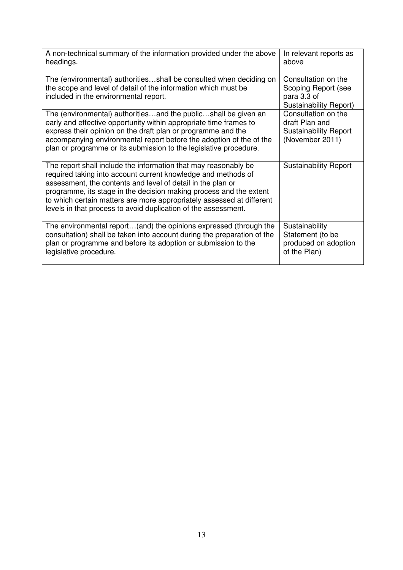| A non-technical summary of the information provided under the above<br>headings.                                                                                                                                                                                                                                                                                                                                 | In relevant reports as<br>above                                                          |
|------------------------------------------------------------------------------------------------------------------------------------------------------------------------------------------------------------------------------------------------------------------------------------------------------------------------------------------------------------------------------------------------------------------|------------------------------------------------------------------------------------------|
| The (environmental) authoritiesshall be consulted when deciding on<br>the scope and level of detail of the information which must be<br>included in the environmental report.                                                                                                                                                                                                                                    | Consultation on the<br>Scoping Report (see<br>para 3.3 of<br>Sustainability Report)      |
| The (environmental) authoritiesand the publicshall be given an<br>early and effective opportunity within appropriate time frames to<br>express their opinion on the draft plan or programme and the<br>accompanying environmental report before the adoption of the of the<br>plan or programme or its submission to the legislative procedure.                                                                  | Consultation on the<br>draft Plan and<br><b>Sustainability Report</b><br>(November 2011) |
| The report shall include the information that may reasonably be<br>required taking into account current knowledge and methods of<br>assessment, the contents and level of detail in the plan or<br>programme, its stage in the decision making process and the extent<br>to which certain matters are more appropriately assessed at different<br>levels in that process to avoid duplication of the assessment. | <b>Sustainability Report</b>                                                             |
| The environmental report(and) the opinions expressed (through the<br>consultation) shall be taken into account during the preparation of the<br>plan or programme and before its adoption or submission to the<br>legislative procedure.                                                                                                                                                                         | Sustainability<br>Statement (to be<br>produced on adoption<br>of the Plan)               |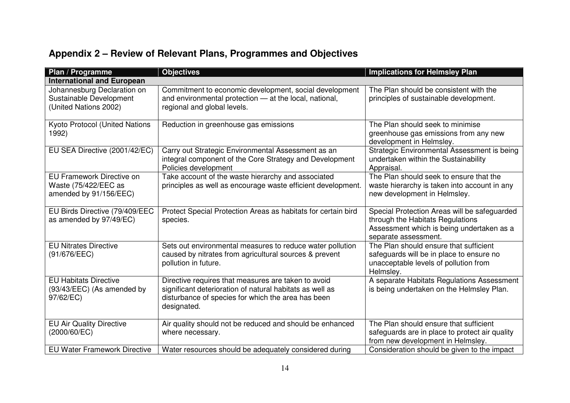| Plan / Programme                                                                | <b>Objectives</b>                                                                                                                                                                    | <b>Implications for Helmsley Plan</b>                                                                                                                 |  |  |
|---------------------------------------------------------------------------------|--------------------------------------------------------------------------------------------------------------------------------------------------------------------------------------|-------------------------------------------------------------------------------------------------------------------------------------------------------|--|--|
| <b>International and European</b>                                               |                                                                                                                                                                                      |                                                                                                                                                       |  |  |
| Johannesburg Declaration on<br>Sustainable Development<br>(United Nations 2002) | Commitment to economic development, social development<br>and environmental protection - at the local, national,<br>regional and global levels.                                      | The Plan should be consistent with the<br>principles of sustainable development.                                                                      |  |  |
| Kyoto Protocol (United Nations<br>1992)                                         | Reduction in greenhouse gas emissions                                                                                                                                                | The Plan should seek to minimise<br>greenhouse gas emissions from any new<br>development in Helmsley.                                                 |  |  |
| EU SEA Directive (2001/42/EC)                                                   | Carry out Strategic Environmental Assessment as an<br>integral component of the Core Strategy and Development<br>Policies development                                                | Strategic Environmental Assessment is being<br>undertaken within the Sustainability<br>Appraisal.                                                     |  |  |
| EU Framework Directive on<br>Waste (75/422/EEC as<br>amended by 91/156/EEC)     | Take account of the waste hierarchy and associated<br>principles as well as encourage waste efficient development.                                                                   | The Plan should seek to ensure that the<br>waste hierarchy is taken into account in any<br>new development in Helmsley.                               |  |  |
| EU Birds Directive (79/409/EEC<br>as amended by 97/49/EC)                       | Protect Special Protection Areas as habitats for certain bird<br>species.                                                                                                            | Special Protection Areas will be safeguarded<br>through the Habitats Regulations<br>Assessment which is being undertaken as a<br>separate assessment. |  |  |
| <b>EU Nitrates Directive</b><br>(91/676/EEC)                                    | Sets out environmental measures to reduce water pollution<br>caused by nitrates from agricultural sources & prevent<br>pollution in future.                                          | The Plan should ensure that sufficient<br>safeguards will be in place to ensure no<br>unacceptable levels of pollution from<br>Helmsley.              |  |  |
| <b>EU Habitats Directive</b><br>(93/43/EEC) (As amended by<br>97/62/EC)         | Directive requires that measures are taken to avoid<br>significant deterioration of natural habitats as well as<br>disturbance of species for which the area has been<br>designated. | A separate Habitats Regulations Assessment<br>is being undertaken on the Helmsley Plan.                                                               |  |  |
| <b>EU Air Quality Directive</b><br>(2000/60/EC)                                 | Air quality should not be reduced and should be enhanced<br>where necessary.                                                                                                         | The Plan should ensure that sufficient<br>safeguards are in place to protect air quality<br>from new development in Helmsley.                         |  |  |
| <b>EU Water Framework Directive</b>                                             | Water resources should be adequately considered during                                                                                                                               | Consideration should be given to the impact                                                                                                           |  |  |

## **Appendix 2 – Review of Relevant Plans, Programmes and Objectives**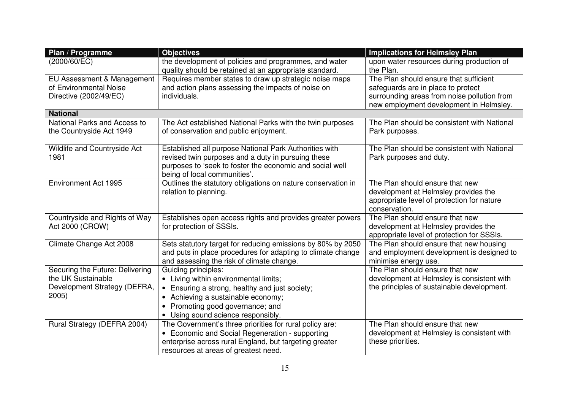| Plan / Programme                | <b>Objectives</b>                                                                                               | <b>Implications for Helmsley Plan</b>                  |
|---------------------------------|-----------------------------------------------------------------------------------------------------------------|--------------------------------------------------------|
| (2000/60/EC)                    | the development of policies and programmes, and water<br>quality should be retained at an appropriate standard. | upon water resources during production of<br>the Plan. |
| EU Assessment & Management      | Requires member states to draw up strategic noise maps                                                          | The Plan should ensure that sufficient                 |
| of Environmental Noise          | and action plans assessing the impacts of noise on                                                              | safeguards are in place to protect                     |
| Directive (2002/49/EC)          | individuals.                                                                                                    | surrounding areas from noise pollution from            |
|                                 |                                                                                                                 | new employment development in Helmsley.                |
| <b>National</b>                 |                                                                                                                 |                                                        |
| National Parks and Access to    | The Act established National Parks with the twin purposes                                                       | The Plan should be consistent with National            |
| the Countryside Act 1949        | of conservation and public enjoyment.                                                                           | Park purposes.                                         |
|                                 |                                                                                                                 |                                                        |
| Wildlife and Countryside Act    | Established all purpose National Park Authorities with                                                          | The Plan should be consistent with National            |
| 1981                            | revised twin purposes and a duty in pursuing these                                                              | Park purposes and duty.                                |
|                                 | purposes to 'seek to foster the economic and social well                                                        |                                                        |
|                                 | being of local communities'.                                                                                    |                                                        |
| Environment Act 1995            | Outlines the statutory obligations on nature conservation in                                                    | The Plan should ensure that new                        |
|                                 | relation to planning.                                                                                           | development at Helmsley provides the                   |
|                                 |                                                                                                                 | appropriate level of protection for nature             |
|                                 |                                                                                                                 | conservation.                                          |
| Countryside and Rights of Way   | Establishes open access rights and provides greater powers                                                      | The Plan should ensure that new                        |
| Act 2000 (CROW)                 | for protection of SSSIs.                                                                                        | development at Helmsley provides the                   |
|                                 |                                                                                                                 | appropriate level of protection for SSSIs.             |
| Climate Change Act 2008         | Sets statutory target for reducing emissions by 80% by 2050                                                     | The Plan should ensure that new housing                |
|                                 | and puts in place procedures for adapting to climate change                                                     | and employment development is designed to              |
|                                 | and assessing the risk of climate change.                                                                       | minimise energy use.                                   |
| Securing the Future: Delivering | Guiding principles:                                                                                             | The Plan should ensure that new                        |
| the UK Sustainable              | • Living within environmental limits;                                                                           | development at Helmsley is consistent with             |
| Development Strategy (DEFRA,    | • Ensuring a strong, healthy and just society;                                                                  | the principles of sustainable development.             |
| 2005                            | • Achieving a sustainable economy;                                                                              |                                                        |
|                                 | Promoting good governance; and                                                                                  |                                                        |
|                                 | Using sound science responsibly.                                                                                |                                                        |
| Rural Strategy (DEFRA 2004)     | The Government's three priorities for rural policy are:                                                         | The Plan should ensure that new                        |
|                                 | • Economic and Social Regeneration - supporting                                                                 | development at Helmsley is consistent with             |
|                                 | enterprise across rural England, but targeting greater                                                          | these priorities.                                      |
|                                 | resources at areas of greatest need.                                                                            |                                                        |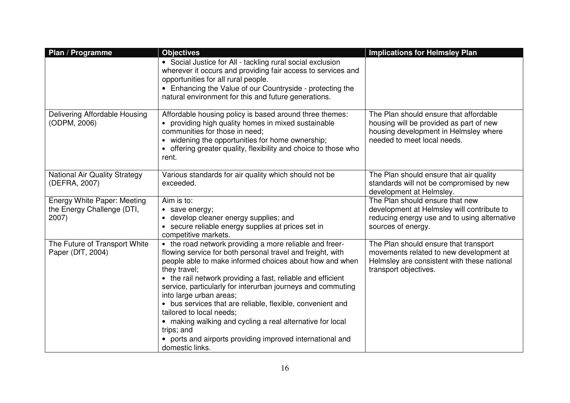| Plan / Programme                                                   | <b>Objectives</b>                                                                                                                                                                                                                                                                                                                                                                                                                                                                                                                                                                                              | <b>Implications for Helmsley Plan</b>                                                                                                                     |
|--------------------------------------------------------------------|----------------------------------------------------------------------------------------------------------------------------------------------------------------------------------------------------------------------------------------------------------------------------------------------------------------------------------------------------------------------------------------------------------------------------------------------------------------------------------------------------------------------------------------------------------------------------------------------------------------|-----------------------------------------------------------------------------------------------------------------------------------------------------------|
|                                                                    | • Social Justice for All - tackling rural social exclusion<br>wherever it occurs and providing fair access to services and<br>opportunities for all rural people.<br>• Enhancing the Value of our Countryside - protecting the<br>natural environment for this and future generations.                                                                                                                                                                                                                                                                                                                         |                                                                                                                                                           |
| Delivering Affordable Housing<br>(ODPM, 2006)                      | Affordable housing policy is based around three themes:<br>• providing high quality homes in mixed sustainable<br>communities for those in need;<br>• widening the opportunities for home ownership;<br>• offering greater quality, flexibility and choice to those who<br>rent.                                                                                                                                                                                                                                                                                                                               | The Plan should ensure that affordable<br>housing will be provided as part of new<br>housing development in Helmsley where<br>needed to meet local needs. |
| <b>National Air Quality Strategy</b><br>(DEFRA, 2007)              | Various standards for air quality which should not be<br>exceeded.                                                                                                                                                                                                                                                                                                                                                                                                                                                                                                                                             | The Plan should ensure that air quality<br>standards will not be compromised by new<br>development at Helmsley.                                           |
| Energy White Paper: Meeting<br>the Energy Challenge (DTI,<br>2007) | Aim is to:<br>• save energy;<br>• develop cleaner energy supplies; and<br>• secure reliable energy supplies at prices set in<br>competitive markets.                                                                                                                                                                                                                                                                                                                                                                                                                                                           | The Plan should ensure that new<br>development at Helmsley will contribute to<br>reducing energy use and to using alternative<br>sources of energy.       |
| The Future of Transport White<br>Paper (DfT, 2004)                 | • the road network providing a more reliable and freer-<br>flowing service for both personal travel and freight, with<br>people able to make informed choices about how and when<br>they travel;<br>• the rail network providing a fast, reliable and efficient<br>service, particularly for interurban journeys and commuting<br>into large urban areas;<br>• bus services that are reliable, flexible, convenient and<br>tailored to local needs;<br>• making walking and cycling a real alternative for local<br>trips; and<br>• ports and airports providing improved international and<br>domestic links. | The Plan should ensure that transport<br>movements related to new development at<br>Helmsley are consistent with these national<br>transport objectives.  |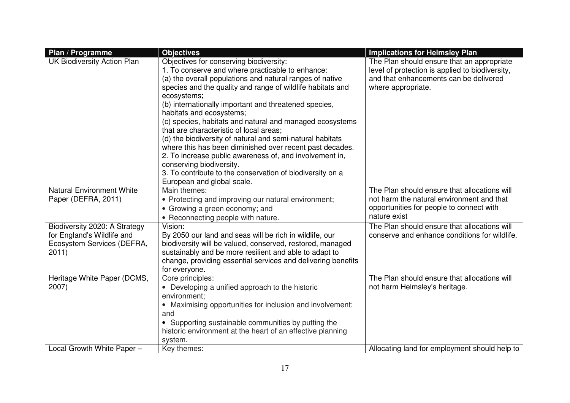| Plan / Programme                                                                                   | <b>Objectives</b>                                                                                                                                                                                                                                                                                                                                                                                                                                                                                                                                                                                                                                                                                                                           | <b>Implications for Helmsley Plan</b>                                                                                                                         |
|----------------------------------------------------------------------------------------------------|---------------------------------------------------------------------------------------------------------------------------------------------------------------------------------------------------------------------------------------------------------------------------------------------------------------------------------------------------------------------------------------------------------------------------------------------------------------------------------------------------------------------------------------------------------------------------------------------------------------------------------------------------------------------------------------------------------------------------------------------|---------------------------------------------------------------------------------------------------------------------------------------------------------------|
| <b>UK Biodiversity Action Plan</b>                                                                 | Objectives for conserving biodiversity:<br>1. To conserve and where practicable to enhance:<br>(a) the overall populations and natural ranges of native<br>species and the quality and range of wildlife habitats and<br>ecosystems;<br>(b) internationally important and threatened species,<br>habitats and ecosystems;<br>(c) species, habitats and natural and managed ecosystems<br>that are characteristic of local areas;<br>(d) the biodiversity of natural and semi-natural habitats<br>where this has been diminished over recent past decades.<br>2. To increase public awareness of, and involvement in,<br>conserving biodiversity.<br>3. To contribute to the conservation of biodiversity on a<br>European and global scale. | The Plan should ensure that an appropriate<br>level of protection is applied to biodiversity,<br>and that enhancements can be delivered<br>where appropriate. |
| <b>Natural Environment White</b><br>Paper (DEFRA, 2011)                                            | Main themes:<br>• Protecting and improving our natural environment;<br>• Growing a green economy; and<br>• Reconnecting people with nature.                                                                                                                                                                                                                                                                                                                                                                                                                                                                                                                                                                                                 | The Plan should ensure that allocations will<br>not harm the natural environment and that<br>opportunities for people to connect with<br>nature exist         |
| Biodiversity 2020: A Strategy<br>for England's Wildlife and<br>Ecosystem Services (DEFRA,<br>2011) | Vision:<br>By 2050 our land and seas will be rich in wildlife, our<br>biodiversity will be valued, conserved, restored, managed<br>sustainably and be more resilient and able to adapt to<br>change, providing essential services and delivering benefits<br>for everyone.                                                                                                                                                                                                                                                                                                                                                                                                                                                                  | The Plan should ensure that allocations will<br>conserve and enhance conditions for wildlife.                                                                 |
| Heritage White Paper (DCMS,<br>2007)                                                               | Core principles:<br>• Developing a unified approach to the historic<br>environment;<br>• Maximising opportunities for inclusion and involvement;<br>and<br>• Supporting sustainable communities by putting the<br>historic environment at the heart of an effective planning<br>system.                                                                                                                                                                                                                                                                                                                                                                                                                                                     | The Plan should ensure that allocations will<br>not harm Helmsley's heritage.                                                                                 |
| Local Growth White Paper -                                                                         | Key themes:                                                                                                                                                                                                                                                                                                                                                                                                                                                                                                                                                                                                                                                                                                                                 | Allocating land for employment should help to                                                                                                                 |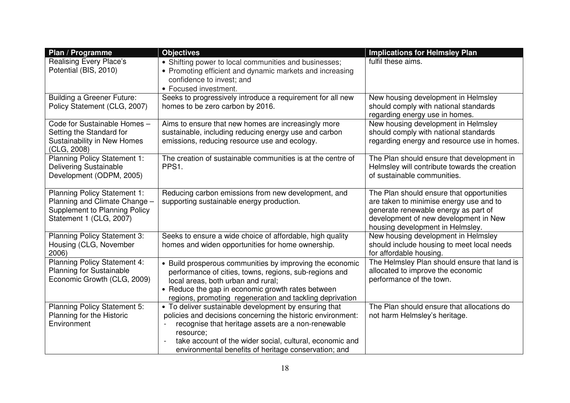| Plan / Programme                                                                                                                 | <b>Objectives</b>                                                                                                                                                                                                                                                                                           | <b>Implications for Helmsley Plan</b>                                                                                                                                                                     |
|----------------------------------------------------------------------------------------------------------------------------------|-------------------------------------------------------------------------------------------------------------------------------------------------------------------------------------------------------------------------------------------------------------------------------------------------------------|-----------------------------------------------------------------------------------------------------------------------------------------------------------------------------------------------------------|
| Realising Every Place's<br>Potential (BIS, 2010)                                                                                 | • Shifting power to local communities and businesses;<br>• Promoting efficient and dynamic markets and increasing<br>confidence to invest; and<br>• Focused investment.                                                                                                                                     | fulfil these aims.                                                                                                                                                                                        |
| <b>Building a Greener Future:</b><br>Policy Statement (CLG, 2007)                                                                | Seeks to progressively introduce a requirement for all new<br>homes to be zero carbon by 2016.                                                                                                                                                                                                              | New housing development in Helmsley<br>should comply with national standards<br>regarding energy use in homes.                                                                                            |
| Code for Sustainable Homes -<br>Setting the Standard for<br><b>Sustainability in New Homes</b><br>(CLG, 2008)                    | Aims to ensure that new homes are increasingly more<br>sustainable, including reducing energy use and carbon<br>emissions, reducing resource use and ecology.                                                                                                                                               | New housing development in Helmsley<br>should comply with national standards<br>regarding energy and resource use in homes.                                                                               |
| <b>Planning Policy Statement 1:</b><br><b>Delivering Sustainable</b><br>Development (ODPM, 2005)                                 | The creation of sustainable communities is at the centre of<br>PPS1.                                                                                                                                                                                                                                        | The Plan should ensure that development in<br>Helmsley will contribute towards the creation<br>of sustainable communities.                                                                                |
| <b>Planning Policy Statement 1:</b><br>Planning and Climate Change -<br>Supplement to Planning Policy<br>Statement 1 (CLG, 2007) | Reducing carbon emissions from new development, and<br>supporting sustainable energy production.                                                                                                                                                                                                            | The Plan should ensure that opportunities<br>are taken to minimise energy use and to<br>generate renewable energy as part of<br>development of new development in New<br>housing development in Helmsley. |
| Planning Policy Statement 3:<br>Housing (CLG, November<br>2006)                                                                  | Seeks to ensure a wide choice of affordable, high quality<br>homes and widen opportunities for home ownership.                                                                                                                                                                                              | New housing development in Helmsley<br>should include housing to meet local needs<br>for affordable housing.                                                                                              |
| <b>Planning Policy Statement 4:</b><br><b>Planning for Sustainable</b><br>Economic Growth (CLG, 2009)                            | • Build prosperous communities by improving the economic<br>performance of cities, towns, regions, sub-regions and<br>local areas, both urban and rural;<br>• Reduce the gap in economic growth rates between<br>regions, promoting regeneration and tackling deprivation                                   | The Helmsley Plan should ensure that land is<br>allocated to improve the economic<br>performance of the town.                                                                                             |
| Planning Policy Statement 5:<br>Planning for the Historic<br>Environment                                                         | • To deliver sustainable development by ensuring that<br>policies and decisions concerning the historic environment:<br>recognise that heritage assets are a non-renewable<br>resource;<br>take account of the wider social, cultural, economic and<br>environmental benefits of heritage conservation; and | The Plan should ensure that allocations do<br>not harm Helmsley's heritage.                                                                                                                               |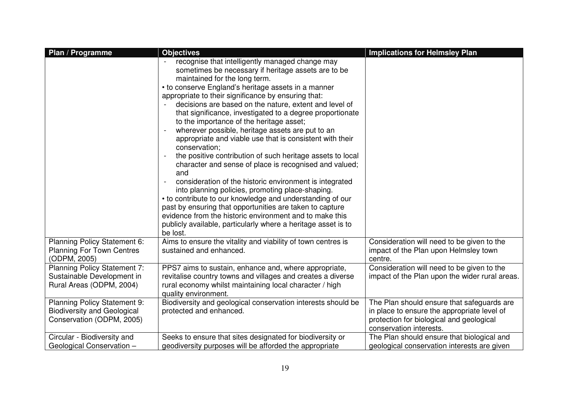| Plan / Programme                                                                                | <b>Objectives</b>                                                                                                                                                                                                                                                                                                                                                                                                                                                                                                                                                                                                                                                                                                                                                                                                                                                                                                                                                                                                                                                        | <b>Implications for Helmsley Plan</b>                                                                                                                            |
|-------------------------------------------------------------------------------------------------|--------------------------------------------------------------------------------------------------------------------------------------------------------------------------------------------------------------------------------------------------------------------------------------------------------------------------------------------------------------------------------------------------------------------------------------------------------------------------------------------------------------------------------------------------------------------------------------------------------------------------------------------------------------------------------------------------------------------------------------------------------------------------------------------------------------------------------------------------------------------------------------------------------------------------------------------------------------------------------------------------------------------------------------------------------------------------|------------------------------------------------------------------------------------------------------------------------------------------------------------------|
|                                                                                                 | recognise that intelligently managed change may<br>sometimes be necessary if heritage assets are to be<br>maintained for the long term.<br>• to conserve England's heritage assets in a manner<br>appropriate to their significance by ensuring that:<br>decisions are based on the nature, extent and level of<br>that significance, investigated to a degree proportionate<br>to the importance of the heritage asset;<br>wherever possible, heritage assets are put to an<br>appropriate and viable use that is consistent with their<br>conservation;<br>the positive contribution of such heritage assets to local<br>character and sense of place is recognised and valued;<br>and<br>consideration of the historic environment is integrated<br>into planning policies, promoting place-shaping.<br>• to contribute to our knowledge and understanding of our<br>past by ensuring that opportunities are taken to capture<br>evidence from the historic environment and to make this<br>publicly available, particularly where a heritage asset is to<br>be lost. |                                                                                                                                                                  |
| Planning Policy Statement 6:<br><b>Planning For Town Centres</b><br>(ODPM, 2005)                | Aims to ensure the vitality and viability of town centres is<br>sustained and enhanced.                                                                                                                                                                                                                                                                                                                                                                                                                                                                                                                                                                                                                                                                                                                                                                                                                                                                                                                                                                                  | Consideration will need to be given to the<br>impact of the Plan upon Helmsley town<br>centre.                                                                   |
| <b>Planning Policy Statement 7:</b><br>Sustainable Development in<br>Rural Areas (ODPM, 2004)   | PPS7 aims to sustain, enhance and, where appropriate,<br>revitalise country towns and villages and creates a diverse<br>rural economy whilst maintaining local character / high<br>quality environment.                                                                                                                                                                                                                                                                                                                                                                                                                                                                                                                                                                                                                                                                                                                                                                                                                                                                  | Consideration will need to be given to the<br>impact of the Plan upon the wider rural areas.                                                                     |
| Planning Policy Statement 9:<br><b>Biodiversity and Geological</b><br>Conservation (ODPM, 2005) | Biodiversity and geological conservation interests should be<br>protected and enhanced.                                                                                                                                                                                                                                                                                                                                                                                                                                                                                                                                                                                                                                                                                                                                                                                                                                                                                                                                                                                  | The Plan should ensure that safeguards are<br>in place to ensure the appropriate level of<br>protection for biological and geological<br>conservation interests. |
| Circular - Biodiversity and<br>Geological Conservation -                                        | Seeks to ensure that sites designated for biodiversity or<br>geodiversity purposes will be afforded the appropriate                                                                                                                                                                                                                                                                                                                                                                                                                                                                                                                                                                                                                                                                                                                                                                                                                                                                                                                                                      | The Plan should ensure that biological and<br>geological conservation interests are given                                                                        |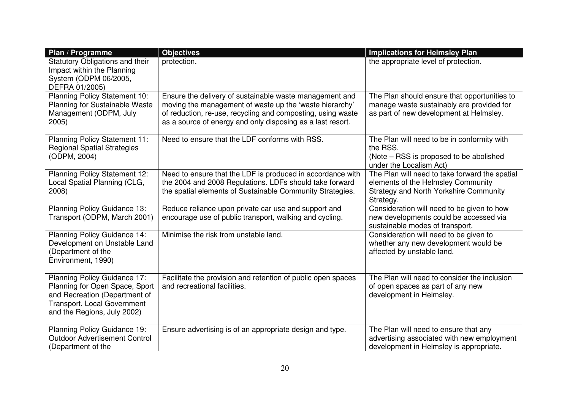| Plan / Programme                                                                                                                                              | <b>Objectives</b>                                                                                                                                                                                                                               | <b>Implications for Helmsley Plan</b>                                                                                                              |
|---------------------------------------------------------------------------------------------------------------------------------------------------------------|-------------------------------------------------------------------------------------------------------------------------------------------------------------------------------------------------------------------------------------------------|----------------------------------------------------------------------------------------------------------------------------------------------------|
| Statutory Obligations and their<br>Impact within the Planning<br>System (ODPM 06/2005,<br>DEFRA 01/2005)                                                      | protection.                                                                                                                                                                                                                                     | the appropriate level of protection.                                                                                                               |
| Planning Policy Statement 10:<br><b>Planning for Sustainable Waste</b><br>Management (ODPM, July<br>2005)                                                     | Ensure the delivery of sustainable waste management and<br>moving the management of waste up the 'waste hierarchy'<br>of reduction, re-use, recycling and composting, using waste<br>as a source of energy and only disposing as a last resort. | The Plan should ensure that opportunities to<br>manage waste sustainably are provided for<br>as part of new development at Helmsley.               |
| <b>Planning Policy Statement 11:</b><br><b>Regional Spatial Strategies</b><br>(ODPM, 2004)                                                                    | Need to ensure that the LDF conforms with RSS.                                                                                                                                                                                                  | The Plan will need to be in conformity with<br>the RSS.<br>(Note – RSS is proposed to be abolished<br>under the Localism Act)                      |
| <b>Planning Policy Statement 12:</b><br>Local Spatial Planning (CLG,<br>2008)                                                                                 | Need to ensure that the LDF is produced in accordance with<br>the 2004 and 2008 Regulations. LDFs should take forward<br>the spatial elements of Sustainable Community Strategies.                                                              | The Plan will need to take forward the spatial<br>elements of the Helmsley Community<br><b>Strategy and North Yorkshire Community</b><br>Strategy. |
| Planning Policy Guidance 13:<br>Transport (ODPM, March 2001)                                                                                                  | Reduce reliance upon private car use and support and<br>encourage use of public transport, walking and cycling.                                                                                                                                 | Consideration will need to be given to how<br>new developments could be accessed via<br>sustainable modes of transport.                            |
| Planning Policy Guidance 14:<br>Development on Unstable Land<br>(Department of the<br>Environment, 1990)                                                      | Minimise the risk from unstable land.                                                                                                                                                                                                           | Consideration will need to be given to<br>whether any new development would be<br>affected by unstable land.                                       |
| Planning Policy Guidance 17:<br>Planning for Open Space, Sport<br>and Recreation (Department of<br>Transport, Local Government<br>and the Regions, July 2002) | Facilitate the provision and retention of public open spaces<br>and recreational facilities.                                                                                                                                                    | The Plan will need to consider the inclusion<br>of open spaces as part of any new<br>development in Helmsley.                                      |
| Planning Policy Guidance 19:<br><b>Outdoor Advertisement Control</b><br>(Department of the                                                                    | Ensure advertising is of an appropriate design and type.                                                                                                                                                                                        | The Plan will need to ensure that any<br>advertising associated with new employment<br>development in Helmsley is appropriate.                     |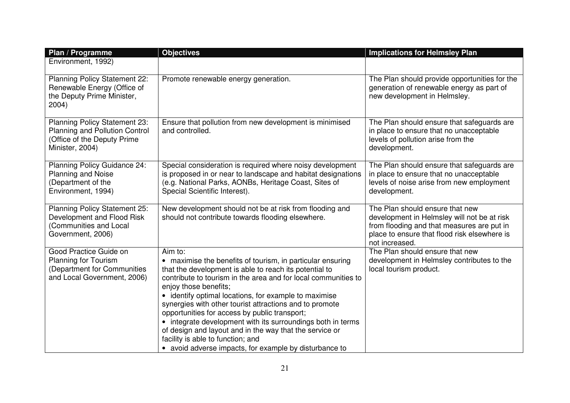| Plan / Programme                                                                                                         | <b>Objectives</b>                                                                                                                                                                                                                                                                                                                                                                                                                                                                                                                                                                                                        | <b>Implications for Helmsley Plan</b>                                                                                                                                                          |
|--------------------------------------------------------------------------------------------------------------------------|--------------------------------------------------------------------------------------------------------------------------------------------------------------------------------------------------------------------------------------------------------------------------------------------------------------------------------------------------------------------------------------------------------------------------------------------------------------------------------------------------------------------------------------------------------------------------------------------------------------------------|------------------------------------------------------------------------------------------------------------------------------------------------------------------------------------------------|
| Environment, 1992)                                                                                                       |                                                                                                                                                                                                                                                                                                                                                                                                                                                                                                                                                                                                                          |                                                                                                                                                                                                |
| Planning Policy Statement 22:<br>Renewable Energy (Office of<br>the Deputy Prime Minister,<br>2004)                      | Promote renewable energy generation.                                                                                                                                                                                                                                                                                                                                                                                                                                                                                                                                                                                     | The Plan should provide opportunities for the<br>generation of renewable energy as part of<br>new development in Helmsley.                                                                     |
| Planning Policy Statement 23:<br><b>Planning and Pollution Control</b><br>(Office of the Deputy Prime<br>Minister, 2004) | Ensure that pollution from new development is minimised<br>and controlled.                                                                                                                                                                                                                                                                                                                                                                                                                                                                                                                                               | The Plan should ensure that safeguards are<br>in place to ensure that no unacceptable<br>levels of pollution arise from the<br>development.                                                    |
| Planning Policy Guidance 24:<br><b>Planning and Noise</b><br>(Department of the<br>Environment, 1994)                    | Special consideration is required where noisy development<br>is proposed in or near to landscape and habitat designations<br>(e.g. National Parks, AONBs, Heritage Coast, Sites of<br>Special Scientific Interest).                                                                                                                                                                                                                                                                                                                                                                                                      | The Plan should ensure that safeguards are<br>in place to ensure that no unacceptable<br>levels of noise arise from new employment<br>development.                                             |
| Planning Policy Statement 25:<br>Development and Flood Risk<br>(Communities and Local<br>Government, 2006)               | New development should not be at risk from flooding and<br>should not contribute towards flooding elsewhere.                                                                                                                                                                                                                                                                                                                                                                                                                                                                                                             | The Plan should ensure that new<br>development in Helmsley will not be at risk<br>from flooding and that measures are put in<br>place to ensure that flood risk elsewhere is<br>not increased. |
| Good Practice Guide on<br><b>Planning for Tourism</b><br>(Department for Communities<br>and Local Government, 2006)      | Aim to:<br>• maximise the benefits of tourism, in particular ensuring<br>that the development is able to reach its potential to<br>contribute to tourism in the area and for local communities to<br>enjoy those benefits;<br>• identify optimal locations, for example to maximise<br>synergies with other tourist attractions and to promote<br>opportunities for access by public transport;<br>• integrate development with its surroundings both in terms<br>of design and layout and in the way that the service or<br>facility is able to function; and<br>• avoid adverse impacts, for example by disturbance to | The Plan should ensure that new<br>development in Helmsley contributes to the<br>local tourism product.                                                                                        |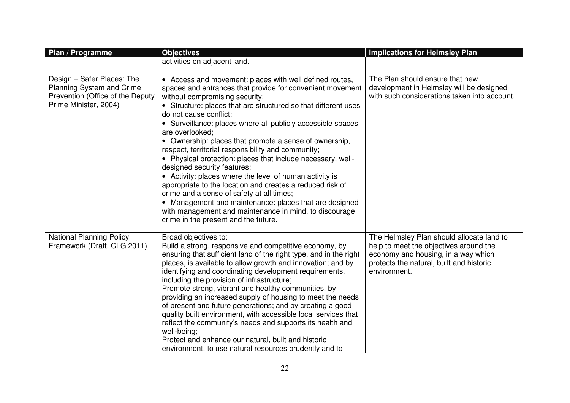| Plan / Programme                                                                                                     | <b>Objectives</b>                                                                                                                                                                                                                                                                                                                                                                                                                                                                                                                                                                                                                                                                                                                                                                                                                                                                   | <b>Implications for Helmsley Plan</b>                                                                                                                                                  |
|----------------------------------------------------------------------------------------------------------------------|-------------------------------------------------------------------------------------------------------------------------------------------------------------------------------------------------------------------------------------------------------------------------------------------------------------------------------------------------------------------------------------------------------------------------------------------------------------------------------------------------------------------------------------------------------------------------------------------------------------------------------------------------------------------------------------------------------------------------------------------------------------------------------------------------------------------------------------------------------------------------------------|----------------------------------------------------------------------------------------------------------------------------------------------------------------------------------------|
|                                                                                                                      | activities on adjacent land.                                                                                                                                                                                                                                                                                                                                                                                                                                                                                                                                                                                                                                                                                                                                                                                                                                                        |                                                                                                                                                                                        |
|                                                                                                                      |                                                                                                                                                                                                                                                                                                                                                                                                                                                                                                                                                                                                                                                                                                                                                                                                                                                                                     |                                                                                                                                                                                        |
| Design - Safer Places: The<br>Planning System and Crime<br>Prevention (Office of the Deputy<br>Prime Minister, 2004) | • Access and movement: places with well defined routes,<br>spaces and entrances that provide for convenient movement<br>without compromising security;<br>• Structure: places that are structured so that different uses<br>do not cause conflict;<br>• Surveillance: places where all publicly accessible spaces<br>are overlooked;<br>• Ownership: places that promote a sense of ownership,<br>respect, territorial responsibility and community;<br>• Physical protection: places that include necessary, well-<br>designed security features;<br>• Activity: places where the level of human activity is<br>appropriate to the location and creates a reduced risk of<br>crime and a sense of safety at all times;<br>• Management and maintenance: places that are designed<br>with management and maintenance in mind, to discourage<br>crime in the present and the future. | The Plan should ensure that new<br>development in Helmsley will be designed<br>with such considerations taken into account.                                                            |
| <b>National Planning Policy</b><br>Framework (Draft, CLG 2011)                                                       | Broad objectives to:<br>Build a strong, responsive and competitive economy, by<br>ensuring that sufficient land of the right type, and in the right<br>places, is available to allow growth and innovation; and by<br>identifying and coordinating development requirements,<br>including the provision of infrastructure;<br>Promote strong, vibrant and healthy communities, by<br>providing an increased supply of housing to meet the needs<br>of present and future generations; and by creating a good<br>quality built environment, with accessible local services that<br>reflect the community's needs and supports its health and<br>well-being;<br>Protect and enhance our natural, built and historic<br>environment, to use natural resources prudently and to                                                                                                         | The Helmsley Plan should allocate land to<br>help to meet the objectives around the<br>economy and housing, in a way which<br>protects the natural, built and historic<br>environment. |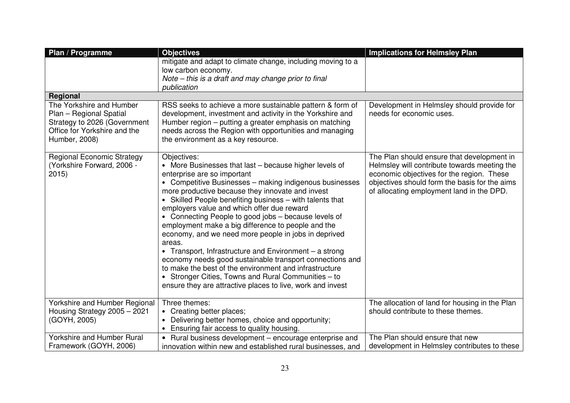| Plan / Programme                                                                                                                     | <b>Objectives</b>                                                                                                                                                                                                                                                                                                                                                                                                                                                                                                                                                                                                                                                                                                                                                                                                  | <b>Implications for Helmsley Plan</b>                                                                                                                                                                                                 |
|--------------------------------------------------------------------------------------------------------------------------------------|--------------------------------------------------------------------------------------------------------------------------------------------------------------------------------------------------------------------------------------------------------------------------------------------------------------------------------------------------------------------------------------------------------------------------------------------------------------------------------------------------------------------------------------------------------------------------------------------------------------------------------------------------------------------------------------------------------------------------------------------------------------------------------------------------------------------|---------------------------------------------------------------------------------------------------------------------------------------------------------------------------------------------------------------------------------------|
|                                                                                                                                      | mitigate and adapt to climate change, including moving to a<br>low carbon economy.                                                                                                                                                                                                                                                                                                                                                                                                                                                                                                                                                                                                                                                                                                                                 |                                                                                                                                                                                                                                       |
|                                                                                                                                      | Note – this is a draft and may change prior to final<br>publication                                                                                                                                                                                                                                                                                                                                                                                                                                                                                                                                                                                                                                                                                                                                                |                                                                                                                                                                                                                                       |
| Regional                                                                                                                             |                                                                                                                                                                                                                                                                                                                                                                                                                                                                                                                                                                                                                                                                                                                                                                                                                    |                                                                                                                                                                                                                                       |
| The Yorkshire and Humber<br>Plan - Regional Spatial<br>Strategy to 2026 (Government<br>Office for Yorkshire and the<br>Humber, 2008) | RSS seeks to achieve a more sustainable pattern & form of<br>development, investment and activity in the Yorkshire and<br>Humber region – putting a greater emphasis on matching<br>needs across the Region with opportunities and managing<br>the environment as a key resource.                                                                                                                                                                                                                                                                                                                                                                                                                                                                                                                                  | Development in Helmsley should provide for<br>needs for economic uses.                                                                                                                                                                |
| <b>Regional Economic Strategy</b><br>(Yorkshire Forward, 2006 -<br>2015                                                              | Objectives:<br>• More Businesses that last - because higher levels of<br>enterprise are so important<br>• Competitive Businesses - making indigenous businesses<br>more productive because they innovate and invest<br>• Skilled People benefiting business - with talents that<br>employers value and which offer due reward<br>• Connecting People to good jobs - because levels of<br>employment make a big difference to people and the<br>economy, and we need more people in jobs in deprived<br>areas.<br>• Transport, Infrastructure and Environment - a strong<br>economy needs good sustainable transport connections and<br>to make the best of the environment and infrastructure<br>• Stronger Cities, Towns and Rural Communities – to<br>ensure they are attractive places to live, work and invest | The Plan should ensure that development in<br>Helmsley will contribute towards meeting the<br>economic objectives for the region. These<br>objectives should form the basis for the aims<br>of allocating employment land in the DPD. |
| Yorkshire and Humber Regional<br>Housing Strategy 2005 - 2021<br>(GOYH, 2005)                                                        | Three themes:<br>• Creating better places;<br>Delivering better homes, choice and opportunity;<br>Ensuring fair access to quality housing.                                                                                                                                                                                                                                                                                                                                                                                                                                                                                                                                                                                                                                                                         | The allocation of land for housing in the Plan<br>should contribute to these themes.                                                                                                                                                  |
| <b>Yorkshire and Humber Rural</b><br>Framework (GOYH, 2006)                                                                          | • Rural business development - encourage enterprise and<br>innovation within new and established rural businesses, and                                                                                                                                                                                                                                                                                                                                                                                                                                                                                                                                                                                                                                                                                             | The Plan should ensure that new<br>development in Helmsley contributes to these                                                                                                                                                       |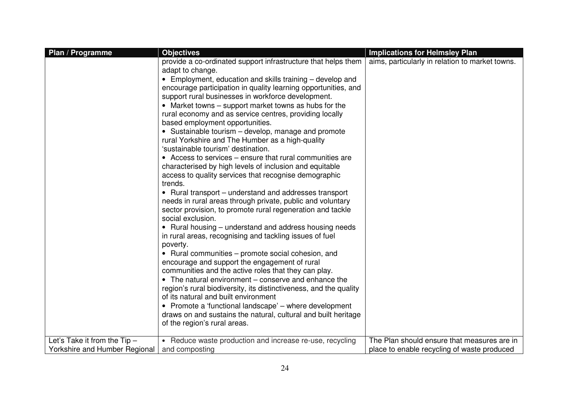| Plan / Programme                                              | <b>Objectives</b>                                                                                                                                                                                                                                                                                                                                                                                                                                                                                                                                                                                                                                                                                                                                                                                                                                                                                                                                                                                                                                                                                                                                                                                                                                                                                                                                                                                                                                                                                                                                                                                                     | <b>Implications for Helmsley Plan</b>                                                      |
|---------------------------------------------------------------|-----------------------------------------------------------------------------------------------------------------------------------------------------------------------------------------------------------------------------------------------------------------------------------------------------------------------------------------------------------------------------------------------------------------------------------------------------------------------------------------------------------------------------------------------------------------------------------------------------------------------------------------------------------------------------------------------------------------------------------------------------------------------------------------------------------------------------------------------------------------------------------------------------------------------------------------------------------------------------------------------------------------------------------------------------------------------------------------------------------------------------------------------------------------------------------------------------------------------------------------------------------------------------------------------------------------------------------------------------------------------------------------------------------------------------------------------------------------------------------------------------------------------------------------------------------------------------------------------------------------------|--------------------------------------------------------------------------------------------|
|                                                               | provide a co-ordinated support infrastructure that helps them<br>adapt to change.<br>• Employment, education and skills training – develop and<br>encourage participation in quality learning opportunities, and<br>support rural businesses in workforce development.<br>• Market towns – support market towns as hubs for the<br>rural economy and as service centres, providing locally<br>based employment opportunities.<br>• Sustainable tourism - develop, manage and promote<br>rural Yorkshire and The Humber as a high-quality<br>'sustainable tourism' destination.<br>• Access to services – ensure that rural communities are<br>characterised by high levels of inclusion and equitable<br>access to quality services that recognise demographic<br>trends.<br>• Rural transport – understand and addresses transport<br>needs in rural areas through private, public and voluntary<br>sector provision, to promote rural regeneration and tackle<br>social exclusion.<br>• Rural housing – understand and address housing needs<br>in rural areas, recognising and tackling issues of fuel<br>poverty.<br>• Rural communities – promote social cohesion, and<br>encourage and support the engagement of rural<br>communities and the active roles that they can play.<br>• The natural environment – conserve and enhance the<br>region's rural biodiversity, its distinctiveness, and the quality<br>of its natural and built environment<br>• Promote a 'functional landscape' - where development<br>draws on and sustains the natural, cultural and built heritage<br>of the region's rural areas. | aims, particularly in relation to market towns.                                            |
| Let's Take it from the Tip -<br>Yorkshire and Humber Regional | • Reduce waste production and increase re-use, recycling<br>and composting                                                                                                                                                                                                                                                                                                                                                                                                                                                                                                                                                                                                                                                                                                                                                                                                                                                                                                                                                                                                                                                                                                                                                                                                                                                                                                                                                                                                                                                                                                                                            | The Plan should ensure that measures are in<br>place to enable recycling of waste produced |
|                                                               |                                                                                                                                                                                                                                                                                                                                                                                                                                                                                                                                                                                                                                                                                                                                                                                                                                                                                                                                                                                                                                                                                                                                                                                                                                                                                                                                                                                                                                                                                                                                                                                                                       |                                                                                            |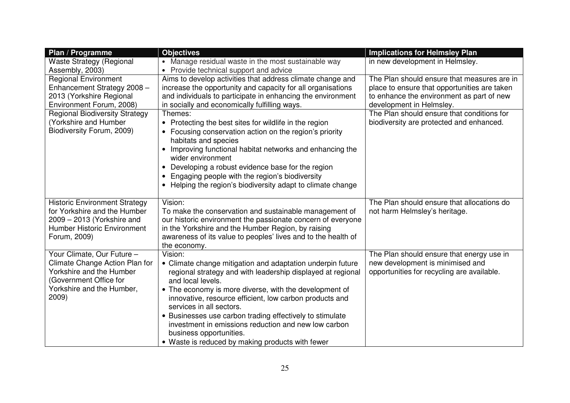| Plan / Programme                                                                                                                                         | <b>Objectives</b>                                                                                                                                                                                                                                                                                                                                                                                                                                                                                             | <b>Implications for Helmsley Plan</b>                                                                                       |
|----------------------------------------------------------------------------------------------------------------------------------------------------------|---------------------------------------------------------------------------------------------------------------------------------------------------------------------------------------------------------------------------------------------------------------------------------------------------------------------------------------------------------------------------------------------------------------------------------------------------------------------------------------------------------------|-----------------------------------------------------------------------------------------------------------------------------|
| <b>Waste Strategy (Regional</b><br>Assembly, 2003)                                                                                                       | • Manage residual waste in the most sustainable way<br>Provide technical support and advice                                                                                                                                                                                                                                                                                                                                                                                                                   | in new development in Helmsley.                                                                                             |
| <b>Regional Environment</b><br>Enhancement Strategy 2008 -                                                                                               | Aims to develop activities that address climate change and<br>increase the opportunity and capacity for all organisations                                                                                                                                                                                                                                                                                                                                                                                     | The Plan should ensure that measures are in<br>place to ensure that opportunities are taken                                 |
| 2013 (Yorkshire Regional<br>Environment Forum, 2008)                                                                                                     | and individuals to participate in enhancing the environment<br>in socially and economically fulfilling ways.                                                                                                                                                                                                                                                                                                                                                                                                  | to enhance the environment as part of new<br>development in Helmsley.                                                       |
| <b>Regional Biodiversity Strategy</b><br>(Yorkshire and Humber<br>Biodiversity Forum, 2009)                                                              | Themes:<br>• Protecting the best sites for wildlife in the region<br>• Focusing conservation action on the region's priority<br>habitats and species<br>Improving functional habitat networks and enhancing the<br>$\bullet$<br>wider environment<br>Developing a robust evidence base for the region<br>Engaging people with the region's biodiversity<br>• Helping the region's biodiversity adapt to climate change                                                                                        | The Plan should ensure that conditions for<br>biodiversity are protected and enhanced.                                      |
| <b>Historic Environment Strategy</b><br>for Yorkshire and the Humber<br>2009 - 2013 (Yorkshire and<br>Humber Historic Environment<br>Forum, 2009)        | Vision:<br>To make the conservation and sustainable management of<br>our historic environment the passionate concern of everyone<br>in the Yorkshire and the Humber Region, by raising<br>awareness of its value to peoples' lives and to the health of<br>the economy.                                                                                                                                                                                                                                       | The Plan should ensure that allocations do<br>not harm Helmsley's heritage.                                                 |
| Your Climate, Our Future -<br>Climate Change Action Plan for<br>Yorkshire and the Humber<br>(Government Office for<br>Yorkshire and the Humber,<br>2009) | Vision:<br>• Climate change mitigation and adaptation underpin future<br>regional strategy and with leadership displayed at regional<br>and local levels.<br>• The economy is more diverse, with the development of<br>innovative, resource efficient, low carbon products and<br>services in all sectors.<br>• Businesses use carbon trading effectively to stimulate<br>investment in emissions reduction and new low carbon<br>business opportunities.<br>• Waste is reduced by making products with fewer | The Plan should ensure that energy use in<br>new development is minimised and<br>opportunities for recycling are available. |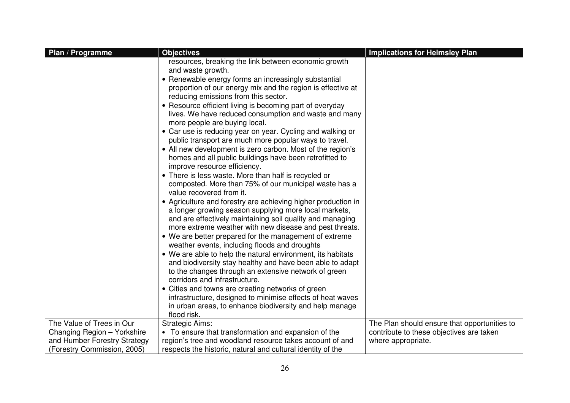| Plan / Programme             | <b>Objectives</b>                                                                                                                                                                                                                              | <b>Implications for Helmsley Plan</b>        |
|------------------------------|------------------------------------------------------------------------------------------------------------------------------------------------------------------------------------------------------------------------------------------------|----------------------------------------------|
|                              | resources, breaking the link between economic growth<br>and waste growth.                                                                                                                                                                      |                                              |
|                              | • Renewable energy forms an increasingly substantial<br>proportion of our energy mix and the region is effective at<br>reducing emissions from this sector.                                                                                    |                                              |
|                              | • Resource efficient living is becoming part of everyday<br>lives. We have reduced consumption and waste and many<br>more people are buying local.                                                                                             |                                              |
|                              | • Car use is reducing year on year. Cycling and walking or<br>public transport are much more popular ways to travel.                                                                                                                           |                                              |
|                              | • All new development is zero carbon. Most of the region's<br>homes and all public buildings have been retrofitted to<br>improve resource efficiency.                                                                                          |                                              |
|                              | • There is less waste. More than half is recycled or<br>composted. More than 75% of our municipal waste has a<br>value recovered from it.                                                                                                      |                                              |
|                              | • Agriculture and forestry are achieving higher production in<br>a longer growing season supplying more local markets,<br>and are effectively maintaining soil quality and managing<br>more extreme weather with new disease and pest threats. |                                              |
|                              | • We are better prepared for the management of extreme<br>weather events, including floods and droughts                                                                                                                                        |                                              |
|                              | • We are able to help the natural environment, its habitats<br>and biodiversity stay healthy and have been able to adapt<br>to the changes through an extensive network of green                                                               |                                              |
|                              | corridors and infrastructure.<br>• Cities and towns are creating networks of green<br>infrastructure, designed to minimise effects of heat waves<br>in urban areas, to enhance biodiversity and help manage                                    |                                              |
|                              | flood risk.                                                                                                                                                                                                                                    |                                              |
| The Value of Trees in Our    | <b>Strategic Aims:</b>                                                                                                                                                                                                                         | The Plan should ensure that opportunities to |
| Changing Region - Yorkshire  | • To ensure that transformation and expansion of the                                                                                                                                                                                           | contribute to these objectives are taken     |
| and Humber Forestry Strategy | region's tree and woodland resource takes account of and                                                                                                                                                                                       | where appropriate.                           |
| (Forestry Commission, 2005)  | respects the historic, natural and cultural identity of the                                                                                                                                                                                    |                                              |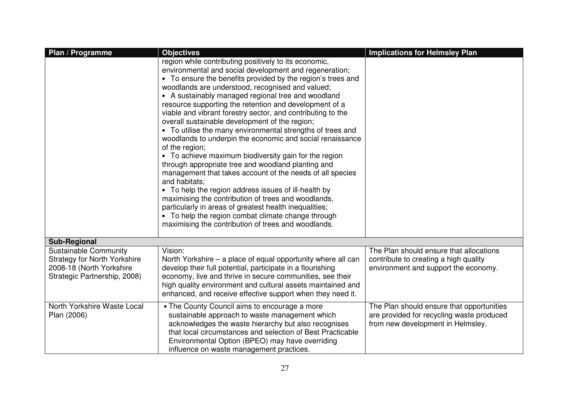| Plan / Programme                                                                                                                | <b>Objectives</b>                                                                                                                                                                                                                                                                                                                                                                                                                                                                                                                                                                                                                                                                                                                                                                                                                                                                                                                                                                                                                                                                                   | <b>Implications for Helmsley Plan</b>                                                                                       |
|---------------------------------------------------------------------------------------------------------------------------------|-----------------------------------------------------------------------------------------------------------------------------------------------------------------------------------------------------------------------------------------------------------------------------------------------------------------------------------------------------------------------------------------------------------------------------------------------------------------------------------------------------------------------------------------------------------------------------------------------------------------------------------------------------------------------------------------------------------------------------------------------------------------------------------------------------------------------------------------------------------------------------------------------------------------------------------------------------------------------------------------------------------------------------------------------------------------------------------------------------|-----------------------------------------------------------------------------------------------------------------------------|
|                                                                                                                                 | region while contributing positively to its economic,<br>environmental and social development and regeneration;<br>• To ensure the benefits provided by the region's trees and<br>woodlands are understood, recognised and valued;<br>• A sustainably managed regional tree and woodland<br>resource supporting the retention and development of a<br>viable and vibrant forestry sector, and contributing to the<br>overall sustainable development of the region;<br>• To utilise the many environmental strengths of trees and<br>woodlands to underpin the economic and social renaissance<br>of the region;<br>• To achieve maximum biodiversity gain for the region<br>through appropriate tree and woodland planting and<br>management that takes account of the needs of all species<br>and habitats;<br>• To help the region address issues of ill-health by<br>maximising the contribution of trees and woodlands,<br>particularly in areas of greatest health inequalities;<br>• To help the region combat climate change through<br>maximising the contribution of trees and woodlands. |                                                                                                                             |
| <b>Sub-Regional</b>                                                                                                             |                                                                                                                                                                                                                                                                                                                                                                                                                                                                                                                                                                                                                                                                                                                                                                                                                                                                                                                                                                                                                                                                                                     |                                                                                                                             |
| <b>Sustainable Community</b><br><b>Strategy for North Yorkshire</b><br>2008-18 (North Yorkshire<br>Strategic Partnership, 2008) | Vision:<br>North Yorkshire – a place of equal opportunity where all can<br>develop their full potential, participate in a flourishing<br>economy, live and thrive in secure communities, see their<br>high quality environment and cultural assets maintained and<br>enhanced, and receive effective support when they need it.                                                                                                                                                                                                                                                                                                                                                                                                                                                                                                                                                                                                                                                                                                                                                                     | The Plan should ensure that allocations<br>contribute to creating a high quality<br>environment and support the economy.    |
| North Yorkshire Waste Local<br>Plan (2006)                                                                                      | • The County Council aims to encourage a more<br>sustainable approach to waste management which<br>acknowledges the waste hierarchy but also recognises<br>that local circumstances and selection of Best Practicable<br>Environmental Option (BPEO) may have overriding<br>influence on waste management practices.                                                                                                                                                                                                                                                                                                                                                                                                                                                                                                                                                                                                                                                                                                                                                                                | The Plan should ensure that opportunities<br>are provided for recycling waste produced<br>from new development in Helmsley. |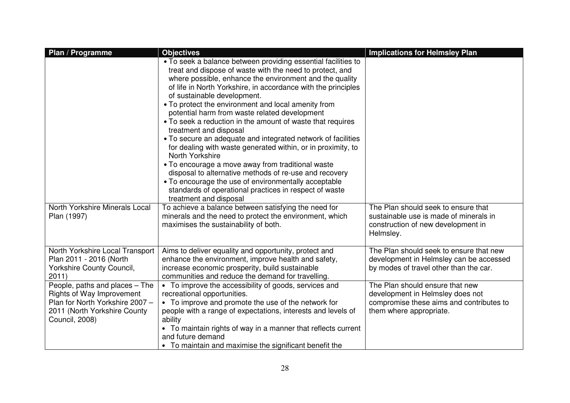| Plan / Programme                                                                                                                                 | <b>Objectives</b>                                                                                                                                                                                                                                                                                                                                                                                                                                                                                                                                                                                                                                                                                                                                                                                                                                                                                  | <b>Implications for Helmsley Plan</b>                                                                                                      |
|--------------------------------------------------------------------------------------------------------------------------------------------------|----------------------------------------------------------------------------------------------------------------------------------------------------------------------------------------------------------------------------------------------------------------------------------------------------------------------------------------------------------------------------------------------------------------------------------------------------------------------------------------------------------------------------------------------------------------------------------------------------------------------------------------------------------------------------------------------------------------------------------------------------------------------------------------------------------------------------------------------------------------------------------------------------|--------------------------------------------------------------------------------------------------------------------------------------------|
|                                                                                                                                                  | • To seek a balance between providing essential facilities to<br>treat and dispose of waste with the need to protect, and<br>where possible, enhance the environment and the quality<br>of life in North Yorkshire, in accordance with the principles<br>of sustainable development.<br>• To protect the environment and local amenity from<br>potential harm from waste related development<br>• To seek a reduction in the amount of waste that requires<br>treatment and disposal<br>• To secure an adequate and integrated network of facilities<br>for dealing with waste generated within, or in proximity, to<br>North Yorkshire<br>• To encourage a move away from traditional waste<br>disposal to alternative methods of re-use and recovery<br>• To encourage the use of environmentally acceptable<br>standards of operational practices in respect of waste<br>treatment and disposal |                                                                                                                                            |
| North Yorkshire Minerals Local<br>Plan (1997)                                                                                                    | To achieve a balance between satisfying the need for<br>minerals and the need to protect the environment, which<br>maximises the sustainability of both.                                                                                                                                                                                                                                                                                                                                                                                                                                                                                                                                                                                                                                                                                                                                           | The Plan should seek to ensure that<br>sustainable use is made of minerals in<br>construction of new development in<br>Helmsley.           |
| North Yorkshire Local Transport<br>Plan 2011 - 2016 (North<br>Yorkshire County Council,<br>2011)                                                 | Aims to deliver equality and opportunity, protect and<br>enhance the environment, improve health and safety,<br>increase economic prosperity, build sustainable<br>communities and reduce the demand for travelling.                                                                                                                                                                                                                                                                                                                                                                                                                                                                                                                                                                                                                                                                               | The Plan should seek to ensure that new<br>development in Helmsley can be accessed<br>by modes of travel other than the car.               |
| People, paths and places - The<br>Rights of Way Improvement<br>Plan for North Yorkshire 2007 -<br>2011 (North Yorkshire County<br>Council, 2008) | • To improve the accessibility of goods, services and<br>recreational opportunities.<br>• To improve and promote the use of the network for<br>people with a range of expectations, interests and levels of<br>ability<br>• To maintain rights of way in a manner that reflects current<br>and future demand<br>• To maintain and maximise the significant benefit the                                                                                                                                                                                                                                                                                                                                                                                                                                                                                                                             | The Plan should ensure that new<br>development in Helmsley does not<br>compromise these aims and contributes to<br>them where appropriate. |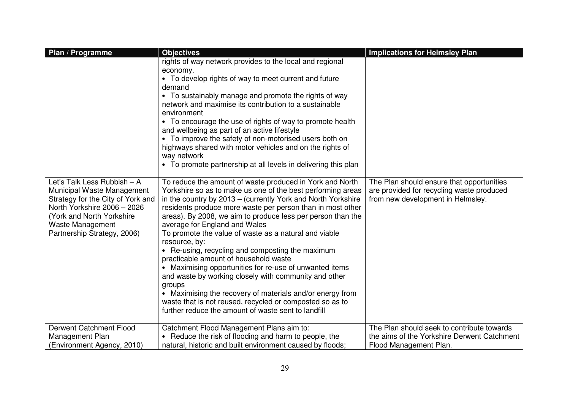| Plan / Programme                                                                                                                                                                                              | <b>Objectives</b>                                                                                                                                                                                                                                                                                                                                                                                                                                                                                                                                                                                                                                                                                                                                                                                                                          | <b>Implications for Helmsley Plan</b>                                                                                       |
|---------------------------------------------------------------------------------------------------------------------------------------------------------------------------------------------------------------|--------------------------------------------------------------------------------------------------------------------------------------------------------------------------------------------------------------------------------------------------------------------------------------------------------------------------------------------------------------------------------------------------------------------------------------------------------------------------------------------------------------------------------------------------------------------------------------------------------------------------------------------------------------------------------------------------------------------------------------------------------------------------------------------------------------------------------------------|-----------------------------------------------------------------------------------------------------------------------------|
|                                                                                                                                                                                                               | rights of way network provides to the local and regional<br>economy.<br>• To develop rights of way to meet current and future<br>demand<br>• To sustainably manage and promote the rights of way<br>network and maximise its contribution to a sustainable<br>environment<br>• To encourage the use of rights of way to promote health<br>and wellbeing as part of an active lifestyle<br>• To improve the safety of non-motorised users both on<br>highways shared with motor vehicles and on the rights of<br>way network<br>• To promote partnership at all levels in delivering this plan                                                                                                                                                                                                                                              |                                                                                                                             |
| Let's Talk Less Rubbish - A<br>Municipal Waste Management<br>Strategy for the City of York and<br>North Yorkshire 2006 - 2026<br>(York and North Yorkshire<br>Waste Management<br>Partnership Strategy, 2006) | To reduce the amount of waste produced in York and North<br>Yorkshire so as to make us one of the best performing areas<br>in the country by 2013 – (currently York and North Yorkshire<br>residents produce more waste per person than in most other<br>areas). By 2008, we aim to produce less per person than the<br>average for England and Wales<br>To promote the value of waste as a natural and viable<br>resource, by:<br>• Re-using, recycling and composting the maximum<br>practicable amount of household waste<br>• Maximising opportunities for re-use of unwanted items<br>and waste by working closely with community and other<br>groups<br>• Maximising the recovery of materials and/or energy from<br>waste that is not reused, recycled or composted so as to<br>further reduce the amount of waste sent to landfill | The Plan should ensure that opportunities<br>are provided for recycling waste produced<br>from new development in Helmsley. |
| <b>Derwent Catchment Flood</b><br>Management Plan<br>(Environment Agency, 2010)                                                                                                                               | Catchment Flood Management Plans aim to:<br>• Reduce the risk of flooding and harm to people, the<br>natural, historic and built environment caused by floods;                                                                                                                                                                                                                                                                                                                                                                                                                                                                                                                                                                                                                                                                             | The Plan should seek to contribute towards<br>the aims of the Yorkshire Derwent Catchment<br>Flood Management Plan.         |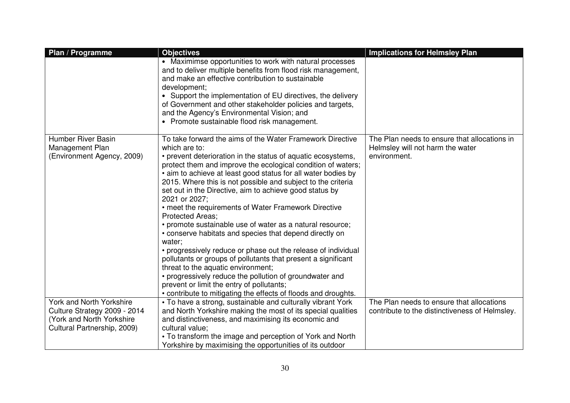| Plan / Programme                                                           | <b>Objectives</b>                                                                                                                                                                                                                                                                                                                                                                                                                                                                                                                                                                                                                                                                                                                                                                                                                                                                                                                                                                              | <b>Implications for Helmsley Plan</b>                                                            |
|----------------------------------------------------------------------------|------------------------------------------------------------------------------------------------------------------------------------------------------------------------------------------------------------------------------------------------------------------------------------------------------------------------------------------------------------------------------------------------------------------------------------------------------------------------------------------------------------------------------------------------------------------------------------------------------------------------------------------------------------------------------------------------------------------------------------------------------------------------------------------------------------------------------------------------------------------------------------------------------------------------------------------------------------------------------------------------|--------------------------------------------------------------------------------------------------|
|                                                                            | • Maximimse opportunities to work with natural processes<br>and to deliver multiple benefits from flood risk management,<br>and make an effective contribution to sustainable<br>development;<br>Support the implementation of EU directives, the delivery<br>of Government and other stakeholder policies and targets,<br>and the Agency's Environmental Vision; and<br>• Promote sustainable flood risk management.                                                                                                                                                                                                                                                                                                                                                                                                                                                                                                                                                                          |                                                                                                  |
| <b>Humber River Basin</b><br>Management Plan<br>(Environment Agency, 2009) | To take forward the aims of the Water Framework Directive<br>which are to:<br>• prevent deterioration in the status of aquatic ecosystems,<br>protect them and improve the ecological condition of waters;<br>• aim to achieve at least good status for all water bodies by<br>2015. Where this is not possible and subject to the criteria<br>set out in the Directive, aim to achieve good status by<br>2021 or 2027;<br>• meet the requirements of Water Framework Directive<br><b>Protected Areas:</b><br>• promote sustainable use of water as a natural resource;<br>• conserve habitats and species that depend directly on<br>water;<br>• progressively reduce or phase out the release of individual<br>pollutants or groups of pollutants that present a significant<br>threat to the aquatic environment;<br>• progressively reduce the pollution of groundwater and<br>prevent or limit the entry of pollutants;<br>• contribute to mitigating the effects of floods and droughts. | The Plan needs to ensure that allocations in<br>Helmsley will not harm the water<br>environment. |
| York and North Yorkshire                                                   | • To have a strong, sustainable and culturally vibrant York                                                                                                                                                                                                                                                                                                                                                                                                                                                                                                                                                                                                                                                                                                                                                                                                                                                                                                                                    | The Plan needs to ensure that allocations                                                        |
| Culture Strategy 2009 - 2014                                               | and North Yorkshire making the most of its special qualities                                                                                                                                                                                                                                                                                                                                                                                                                                                                                                                                                                                                                                                                                                                                                                                                                                                                                                                                   | contribute to the distinctiveness of Helmsley.                                                   |
| (York and North Yorkshire)                                                 | and distinctiveness, and maximising its economic and                                                                                                                                                                                                                                                                                                                                                                                                                                                                                                                                                                                                                                                                                                                                                                                                                                                                                                                                           |                                                                                                  |
| Cultural Partnership, 2009)                                                | cultural value;                                                                                                                                                                                                                                                                                                                                                                                                                                                                                                                                                                                                                                                                                                                                                                                                                                                                                                                                                                                |                                                                                                  |
|                                                                            | • To transform the image and perception of York and North                                                                                                                                                                                                                                                                                                                                                                                                                                                                                                                                                                                                                                                                                                                                                                                                                                                                                                                                      |                                                                                                  |
|                                                                            | Yorkshire by maximising the opportunities of its outdoor                                                                                                                                                                                                                                                                                                                                                                                                                                                                                                                                                                                                                                                                                                                                                                                                                                                                                                                                       |                                                                                                  |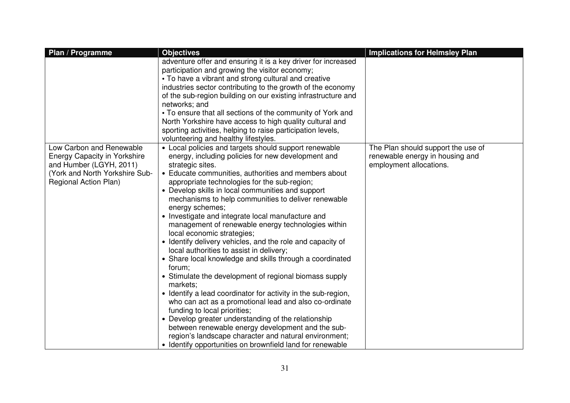| Plan / Programme                                                                                                                                      | <b>Objectives</b>                                                                                                                                                                                                                                                                                                                                                                                                                                                                                                                                                                                                                                                                                                                                                                                                                                                                                                                                                                                                                                                                                                                                                  | <b>Implications for Helmsley Plan</b>                                                            |
|-------------------------------------------------------------------------------------------------------------------------------------------------------|--------------------------------------------------------------------------------------------------------------------------------------------------------------------------------------------------------------------------------------------------------------------------------------------------------------------------------------------------------------------------------------------------------------------------------------------------------------------------------------------------------------------------------------------------------------------------------------------------------------------------------------------------------------------------------------------------------------------------------------------------------------------------------------------------------------------------------------------------------------------------------------------------------------------------------------------------------------------------------------------------------------------------------------------------------------------------------------------------------------------------------------------------------------------|--------------------------------------------------------------------------------------------------|
|                                                                                                                                                       | adventure offer and ensuring it is a key driver for increased<br>participation and growing the visitor economy;<br>• To have a vibrant and strong cultural and creative<br>industries sector contributing to the growth of the economy<br>of the sub-region building on our existing infrastructure and<br>networks; and<br>• To ensure that all sections of the community of York and<br>North Yorkshire have access to high quality cultural and<br>sporting activities, helping to raise participation levels,<br>volunteering and healthy lifestyles.                                                                                                                                                                                                                                                                                                                                                                                                                                                                                                                                                                                                          |                                                                                                  |
| Low Carbon and Renewable<br><b>Energy Capacity in Yorkshire</b><br>and Humber (LGYH, 2011)<br>(York and North Yorkshire Sub-<br>Regional Action Plan) | • Local policies and targets should support renewable<br>energy, including policies for new development and<br>strategic sites.<br>• Educate communities, authorities and members about<br>appropriate technologies for the sub-region;<br>• Develop skills in local communities and support<br>mechanisms to help communities to deliver renewable<br>energy schemes;<br>• Investigate and integrate local manufacture and<br>management of renewable energy technologies within<br>local economic strategies;<br>• Identify delivery vehicles, and the role and capacity of<br>local authorities to assist in delivery;<br>• Share local knowledge and skills through a coordinated<br>forum;<br>• Stimulate the development of regional biomass supply<br>markets;<br>• Identify a lead coordinator for activity in the sub-region,<br>who can act as a promotional lead and also co-ordinate<br>funding to local priorities;<br>• Develop greater understanding of the relationship<br>between renewable energy development and the sub-<br>region's landscape character and natural environment;<br>• Identify opportunities on brownfield land for renewable | The Plan should support the use of<br>renewable energy in housing and<br>employment allocations. |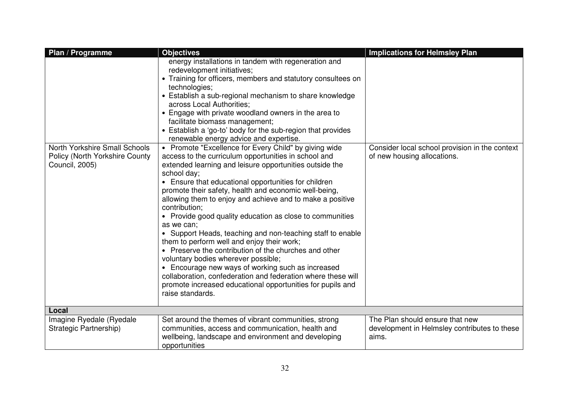| Plan / Programme                                                                  | <b>Objectives</b>                                                                                                                                                                                                                                                                                                                                                                                                                                                                                                                                                                                                                                                                                                                                                                                                                                                                                                                                                                                                                                                                                                                                                                                                                                                                                                                                   | <b>Implications for Helmsley Plan</b>                                                    |
|-----------------------------------------------------------------------------------|-----------------------------------------------------------------------------------------------------------------------------------------------------------------------------------------------------------------------------------------------------------------------------------------------------------------------------------------------------------------------------------------------------------------------------------------------------------------------------------------------------------------------------------------------------------------------------------------------------------------------------------------------------------------------------------------------------------------------------------------------------------------------------------------------------------------------------------------------------------------------------------------------------------------------------------------------------------------------------------------------------------------------------------------------------------------------------------------------------------------------------------------------------------------------------------------------------------------------------------------------------------------------------------------------------------------------------------------------------|------------------------------------------------------------------------------------------|
| North Yorkshire Small Schools<br>Policy (North Yorkshire County<br>Council, 2005) | energy installations in tandem with regeneration and<br>redevelopment initiatives;<br>• Training for officers, members and statutory consultees on<br>technologies;<br>• Establish a sub-regional mechanism to share knowledge<br>across Local Authorities;<br>• Engage with private woodland owners in the area to<br>facilitate biomass management;<br>• Establish a 'go-to' body for the sub-region that provides<br>renewable energy advice and expertise.<br>• Promote "Excellence for Every Child" by giving wide<br>access to the curriculum opportunities in school and<br>extended learning and leisure opportunities outside the<br>school day;<br>• Ensure that educational opportunities for children<br>promote their safety, health and economic well-being,<br>allowing them to enjoy and achieve and to make a positive<br>contribution;<br>• Provide good quality education as close to communities<br>as we can;<br>Support Heads, teaching and non-teaching staff to enable<br>them to perform well and enjoy their work;<br>• Preserve the contribution of the churches and other<br>voluntary bodies wherever possible;<br>• Encourage new ways of working such as increased<br>collaboration, confederation and federation where these will<br>promote increased educational opportunities for pupils and<br>raise standards. | Consider local school provision in the context<br>of new housing allocations.            |
| Local                                                                             |                                                                                                                                                                                                                                                                                                                                                                                                                                                                                                                                                                                                                                                                                                                                                                                                                                                                                                                                                                                                                                                                                                                                                                                                                                                                                                                                                     |                                                                                          |
| Imagine Ryedale (Ryedale<br>Strategic Partnership)                                | Set around the themes of vibrant communities, strong<br>communities, access and communication, health and<br>wellbeing, landscape and environment and developing<br>opportunities                                                                                                                                                                                                                                                                                                                                                                                                                                                                                                                                                                                                                                                                                                                                                                                                                                                                                                                                                                                                                                                                                                                                                                   | The Plan should ensure that new<br>development in Helmsley contributes to these<br>aims. |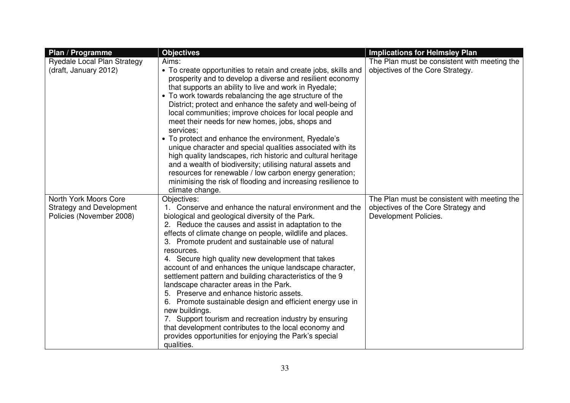| Plan / Programme                                            | <b>Objectives</b>                                                                                                                                                                                                                                                                                                                                                                                                                                                                                                                                                                                                                                                                                                                                                                                                                         | <b>Implications for Helmsley Plan</b>                        |
|-------------------------------------------------------------|-------------------------------------------------------------------------------------------------------------------------------------------------------------------------------------------------------------------------------------------------------------------------------------------------------------------------------------------------------------------------------------------------------------------------------------------------------------------------------------------------------------------------------------------------------------------------------------------------------------------------------------------------------------------------------------------------------------------------------------------------------------------------------------------------------------------------------------------|--------------------------------------------------------------|
| Ryedale Local Plan Strategy                                 | Aims:                                                                                                                                                                                                                                                                                                                                                                                                                                                                                                                                                                                                                                                                                                                                                                                                                                     | The Plan must be consistent with meeting the                 |
| (draft, January 2012)                                       | • To create opportunities to retain and create jobs, skills and<br>prosperity and to develop a diverse and resilient economy<br>that supports an ability to live and work in Ryedale;<br>• To work towards rebalancing the age structure of the<br>District; protect and enhance the safety and well-being of<br>local communities; improve choices for local people and<br>meet their needs for new homes, jobs, shops and<br>services;<br>• To protect and enhance the environment, Ryedale's<br>unique character and special qualities associated with its<br>high quality landscapes, rich historic and cultural heritage<br>and a wealth of biodiversity; utilising natural assets and<br>resources for renewable / low carbon energy generation;<br>minimising the risk of flooding and increasing resilience to<br>climate change. | objectives of the Core Strategy.                             |
| North York Moors Core                                       | Objectives:<br>1. Conserve and enhance the natural environment and the                                                                                                                                                                                                                                                                                                                                                                                                                                                                                                                                                                                                                                                                                                                                                                    | The Plan must be consistent with meeting the                 |
| <b>Strategy and Development</b><br>Policies (November 2008) | biological and geological diversity of the Park.<br>2. Reduce the causes and assist in adaptation to the<br>effects of climate change on people, wildlife and places.<br>3. Promote prudent and sustainable use of natural<br>resources.<br>4. Secure high quality new development that takes<br>account of and enhances the unique landscape character,<br>settlement pattern and building characteristics of the 9<br>landscape character areas in the Park.<br>5. Preserve and enhance historic assets.<br>6. Promote sustainable design and efficient energy use in<br>new buildings.<br>7. Support tourism and recreation industry by ensuring<br>that development contributes to the local economy and<br>provides opportunities for enjoying the Park's special<br>qualities.                                                      | objectives of the Core Strategy and<br>Development Policies. |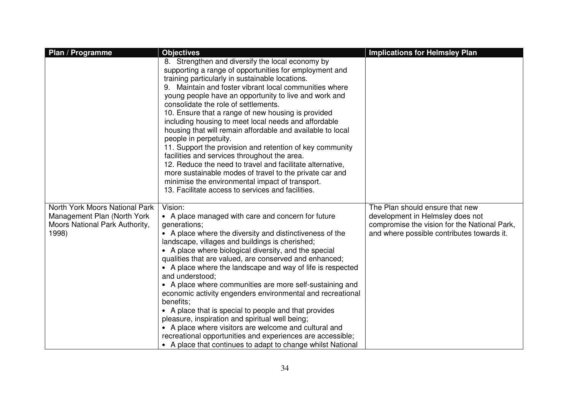| Plan / Programme                                                                                         | <b>Objectives</b>                                                                                                                                                                                                                                                                                                                                                                                                                                                                                                                                                                                                                                                                                                                                                                                                                                                      | <b>Implications for Helmsley Plan</b>                                                                                                                             |
|----------------------------------------------------------------------------------------------------------|------------------------------------------------------------------------------------------------------------------------------------------------------------------------------------------------------------------------------------------------------------------------------------------------------------------------------------------------------------------------------------------------------------------------------------------------------------------------------------------------------------------------------------------------------------------------------------------------------------------------------------------------------------------------------------------------------------------------------------------------------------------------------------------------------------------------------------------------------------------------|-------------------------------------------------------------------------------------------------------------------------------------------------------------------|
|                                                                                                          | 8. Strengthen and diversify the local economy by<br>supporting a range of opportunities for employment and<br>training particularly in sustainable locations.<br>Maintain and foster vibrant local communities where<br>young people have an opportunity to live and work and<br>consolidate the role of settlements.<br>10. Ensure that a range of new housing is provided<br>including housing to meet local needs and affordable<br>housing that will remain affordable and available to local<br>people in perpetuity.<br>11. Support the provision and retention of key community<br>facilities and services throughout the area.<br>12. Reduce the need to travel and facilitate alternative,<br>more sustainable modes of travel to the private car and<br>minimise the environmental impact of transport.<br>13. Facilitate access to services and facilities. |                                                                                                                                                                   |
| North York Moors National Park<br>Management Plan (North York<br>Moors National Park Authority,<br>1998) | Vision:<br>• A place managed with care and concern for future<br>generations;<br>• A place where the diversity and distinctiveness of the<br>landscape, villages and buildings is cherished;<br>• A place where biological diversity, and the special<br>qualities that are valued, are conserved and enhanced;<br>• A place where the landscape and way of life is respected<br>and understood;<br>• A place where communities are more self-sustaining and<br>economic activity engenders environmental and recreational<br>benefits;<br>• A place that is special to people and that provides<br>pleasure, inspiration and spiritual well being;<br>• A place where visitors are welcome and cultural and<br>recreational opportunities and experiences are accessible;<br>• A place that continues to adapt to change whilst National                              | The Plan should ensure that new<br>development in Helmsley does not<br>compromise the vision for the National Park,<br>and where possible contributes towards it. |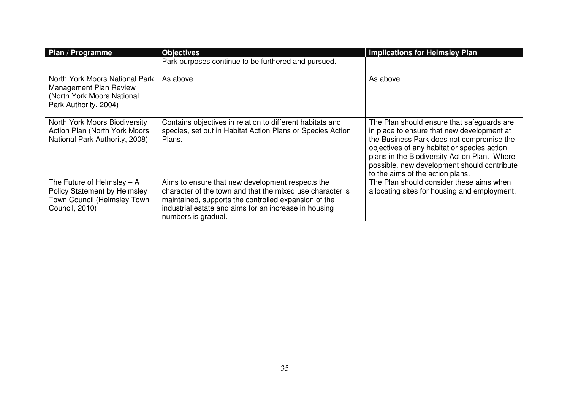| Plan / Programme                                                                                                     | <b>Objectives</b>                                                                                                                                                                                                                                     | <b>Implications for Helmsley Plan</b>                                                                                                                                                                                                                                                                                   |
|----------------------------------------------------------------------------------------------------------------------|-------------------------------------------------------------------------------------------------------------------------------------------------------------------------------------------------------------------------------------------------------|-------------------------------------------------------------------------------------------------------------------------------------------------------------------------------------------------------------------------------------------------------------------------------------------------------------------------|
|                                                                                                                      | Park purposes continue to be furthered and pursued.                                                                                                                                                                                                   |                                                                                                                                                                                                                                                                                                                         |
| North York Moors National Park<br>Management Plan Review<br>(North York Moors National<br>Park Authority, 2004)      | As above                                                                                                                                                                                                                                              | As above                                                                                                                                                                                                                                                                                                                |
| North York Moors Biodiversity<br>Action Plan (North York Moors<br>National Park Authority, 2008)                     | Contains objectives in relation to different habitats and<br>species, set out in Habitat Action Plans or Species Action<br>Plans.                                                                                                                     | The Plan should ensure that safeguards are<br>in place to ensure that new development at<br>the Business Park does not compromise the<br>objectives of any habitat or species action<br>plans in the Biodiversity Action Plan. Where<br>possible, new development should contribute<br>to the aims of the action plans. |
| The Future of Helmsley $- A$<br><b>Policy Statement by Helmsley</b><br>Town Council (Helmsley Town<br>Council, 2010) | Aims to ensure that new development respects the<br>character of the town and that the mixed use character is<br>maintained, supports the controlled expansion of the<br>industrial estate and aims for an increase in housing<br>numbers is gradual. | The Plan should consider these aims when<br>allocating sites for housing and employment.                                                                                                                                                                                                                                |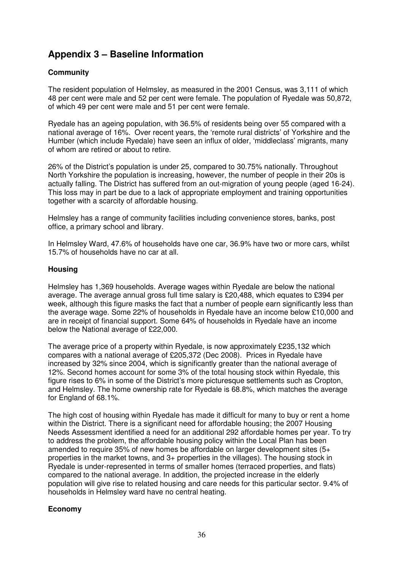## **Appendix 3 – Baseline Information**

#### **Community**

The resident population of Helmsley, as measured in the 2001 Census, was 3,111 of which 48 per cent were male and 52 per cent were female. The population of Ryedale was 50,872, of which 49 per cent were male and 51 per cent were female.

Ryedale has an ageing population, with 36.5% of residents being over 55 compared with a national average of 16%. Over recent years, the 'remote rural districts' of Yorkshire and the Humber (which include Ryedale) have seen an influx of older, 'middleclass' migrants, many of whom are retired or about to retire.

26% of the District's population is under 25, compared to 30.75% nationally. Throughout North Yorkshire the population is increasing, however, the number of people in their 20s is actually falling. The District has suffered from an out-migration of young people (aged 16-24). This loss may in part be due to a lack of appropriate employment and training opportunities together with a scarcity of affordable housing.

Helmsley has a range of community facilities including convenience stores, banks, post office, a primary school and library.

In Helmsley Ward, 47.6% of households have one car, 36.9% have two or more cars, whilst 15.7% of households have no car at all.

#### **Housing**

Helmsley has 1,369 households. Average wages within Ryedale are below the national average. The average annual gross full time salary is £20,488, which equates to £394 per week, although this figure masks the fact that a number of people earn significantly less than the average wage. Some 22% of households in Ryedale have an income below £10,000 and are in receipt of financial support. Some 64% of households in Ryedale have an income below the National average of £22,000.

The average price of a property within Ryedale, is now approximately £235,132 which compares with a national average of £205,372 (Dec 2008). Prices in Ryedale have increased by 32% since 2004, which is significantly greater than the national average of 12%. Second homes account for some 3% of the total housing stock within Ryedale, this figure rises to 6% in some of the District's more picturesque settlements such as Cropton, and Helmsley. The home ownership rate for Ryedale is 68.8%, which matches the average for England of 68.1%.

The high cost of housing within Ryedale has made it difficult for many to buy or rent a home within the District. There is a significant need for affordable housing; the 2007 Housing Needs Assessment identified a need for an additional 292 affordable homes per year. To try to address the problem, the affordable housing policy within the Local Plan has been amended to require 35% of new homes be affordable on larger development sites  $(5+)$ properties in the market towns, and 3+ properties in the villages). The housing stock in Ryedale is under-represented in terms of smaller homes (terraced properties, and flats) compared to the national average. In addition, the projected increase in the elderly population will give rise to related housing and care needs for this particular sector. 9.4% of households in Helmsley ward have no central heating.

#### **Economy**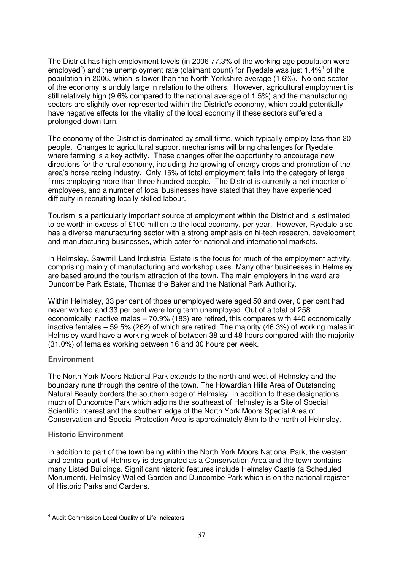The District has high employment levels (in 2006 77.3% of the working age population were employed<sup>4</sup>) and the unemployment rate (claimant count) for Ryedale was just 1.4%<sup>4</sup> of the population in 2006, which is lower than the North Yorkshire average (1.6%). No one sector of the economy is unduly large in relation to the others. However, agricultural employment is still relatively high (9.6% compared to the national average of 1.5%) and the manufacturing sectors are slightly over represented within the District's economy, which could potentially have negative effects for the vitality of the local economy if these sectors suffered a prolonged down turn.

The economy of the District is dominated by small firms, which typically employ less than 20 people. Changes to agricultural support mechanisms will bring challenges for Ryedale where farming is a key activity. These changes offer the opportunity to encourage new directions for the rural economy, including the growing of energy crops and promotion of the area's horse racing industry. Only 15% of total employment falls into the category of large firms employing more than three hundred people. The District is currently a net importer of employees, and a number of local businesses have stated that they have experienced difficulty in recruiting locally skilled labour.

Tourism is a particularly important source of employment within the District and is estimated to be worth in excess of £100 million to the local economy, per year. However, Ryedale also has a diverse manufacturing sector with a strong emphasis on hi-tech research, development and manufacturing businesses, which cater for national and international markets.

In Helmsley, Sawmill Land Industrial Estate is the focus for much of the employment activity, comprising mainly of manufacturing and workshop uses. Many other businesses in Helmsley are based around the tourism attraction of the town. The main employers in the ward are Duncombe Park Estate, Thomas the Baker and the National Park Authority.

Within Helmsley, 33 per cent of those unemployed were aged 50 and over, 0 per cent had never worked and 33 per cent were long term unemployed. Out of a total of 258 economically inactive males – 70.9% (183) are retired, this compares with 440 economically inactive females – 59.5% (262) of which are retired. The majority (46.3%) of working males in Helmsley ward have a working week of between 38 and 48 hours compared with the majority (31.0%) of females working between 16 and 30 hours per week.

#### **Environment**

The North York Moors National Park extends to the north and west of Helmsley and the boundary runs through the centre of the town. The Howardian Hills Area of Outstanding Natural Beauty borders the southern edge of Helmsley. In addition to these designations, much of Duncombe Park which adjoins the southeast of Helmsley is a Site of Special Scientific Interest and the southern edge of the North York Moors Special Area of Conservation and Special Protection Area is approximately 8km to the north of Helmsley.

#### **Historic Environment**

 $\overline{a}$ 

In addition to part of the town being within the North York Moors National Park, the western and central part of Helmsley is designated as a Conservation Area and the town contains many Listed Buildings. Significant historic features include Helmsley Castle (a Scheduled Monument), Helmsley Walled Garden and Duncombe Park which is on the national register of Historic Parks and Gardens.

<sup>&</sup>lt;sup>4</sup> Audit Commission Local Quality of Life Indicators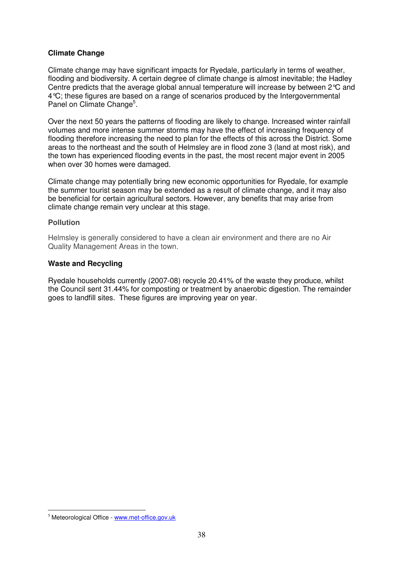#### **Climate Change**

Climate change may have significant impacts for Ryedale, particularly in terms of weather, flooding and biodiversity. A certain degree of climate change is almost inevitable; the Hadley Centre predicts that the average global annual temperature will increase by between 2°C and 4°C; these figures are based on a range of scenarios produced by the Intergovernmental Panel on Climate Change<sup>5</sup>.

Over the next 50 years the patterns of flooding are likely to change. Increased winter rainfall volumes and more intense summer storms may have the effect of increasing frequency of flooding therefore increasing the need to plan for the effects of this across the District. Some areas to the northeast and the south of Helmsley are in flood zone 3 (land at most risk), and the town has experienced flooding events in the past, the most recent major event in 2005 when over 30 homes were damaged.

Climate change may potentially bring new economic opportunities for Ryedale, for example the summer tourist season may be extended as a result of climate change, and it may also be beneficial for certain agricultural sectors. However, any benefits that may arise from climate change remain very unclear at this stage.

#### **Pollution**

Helmsley is generally considered to have a clean air environment and there are no Air Quality Management Areas in the town.

#### **Waste and Recycling**

Ryedale households currently (2007-08) recycle 20.41% of the waste they produce, whilst the Council sent 31.44% for composting or treatment by anaerobic digestion. The remainder goes to landfill sites. These figures are improving year on year.

l.

<sup>5</sup> Meteorological Office - www.met-office.gov.uk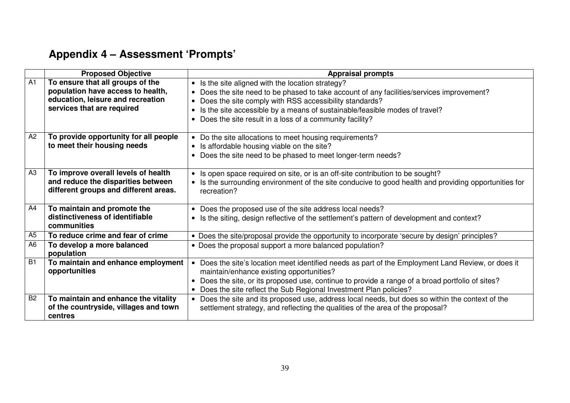# **Appendix 4 – Assessment 'Prompts'**

|                 | <b>Proposed Objective</b>                                                                                                                | <b>Appraisal prompts</b>                                                                                                                                                                                                                                                                                                                        |
|-----------------|------------------------------------------------------------------------------------------------------------------------------------------|-------------------------------------------------------------------------------------------------------------------------------------------------------------------------------------------------------------------------------------------------------------------------------------------------------------------------------------------------|
| A1              | To ensure that all groups of the<br>population have access to health,<br>education, leisure and recreation<br>services that are required | • Is the site aligned with the location strategy?<br>Does the site need to be phased to take account of any facilities/services improvement?<br>Does the site comply with RSS accessibility standards?<br>Is the site accessible by a means of sustainable/feasible modes of travel?<br>Does the site result in a loss of a community facility? |
| A2              | To provide opportunity for all people<br>to meet their housing needs                                                                     | • Do the site allocations to meet housing requirements?<br>• Is affordable housing viable on the site?<br>Does the site need to be phased to meet longer-term needs?                                                                                                                                                                            |
| A3              | To improve overall levels of health<br>and reduce the disparities between<br>different groups and different areas.                       | • Is open space required on site, or is an off-site contribution to be sought?<br>Is the surrounding environment of the site conducive to good health and providing opportunities for<br>recreation?                                                                                                                                            |
| A4              | To maintain and promote the<br>distinctiveness of identifiable<br>communities                                                            | Does the proposed use of the site address local needs?<br>• Is the siting, design reflective of the settlement's pattern of development and context?                                                                                                                                                                                            |
| A <sub>5</sub>  | To reduce crime and fear of crime                                                                                                        | • Does the site/proposal provide the opportunity to incorporate 'secure by design' principles?                                                                                                                                                                                                                                                  |
| A <sub>6</sub>  | To develop a more balanced<br>population                                                                                                 | • Does the proposal support a more balanced population?                                                                                                                                                                                                                                                                                         |
| $\overline{B1}$ | To maintain and enhance employment<br>opportunities                                                                                      | Does the site's location meet identified needs as part of the Employment Land Review, or does it<br>maintain/enhance existing opportunities?<br>Does the site, or its proposed use, continue to provide a range of a broad portfolio of sites?<br>Does the site reflect the Sub Regional Investment Plan policies?                              |
| B <sub>2</sub>  | To maintain and enhance the vitality<br>of the countryside, villages and town<br>centres                                                 | Does the site and its proposed use, address local needs, but does so within the context of the<br>settlement strategy, and reflecting the qualities of the area of the proposal?                                                                                                                                                                |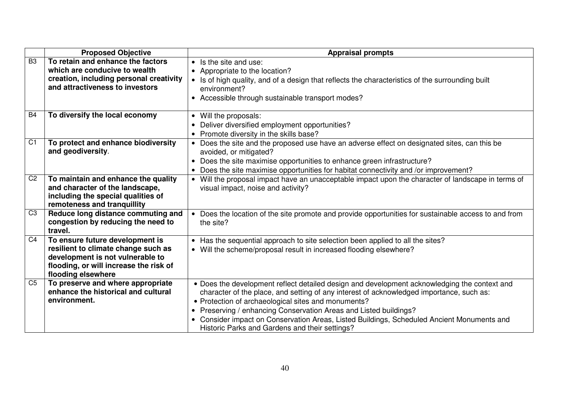|                | <b>Proposed Objective</b>                                                                                                                                                  | <b>Appraisal prompts</b>                                                                                                                                                                                                                                                                                                                                                                                                                                                        |
|----------------|----------------------------------------------------------------------------------------------------------------------------------------------------------------------------|---------------------------------------------------------------------------------------------------------------------------------------------------------------------------------------------------------------------------------------------------------------------------------------------------------------------------------------------------------------------------------------------------------------------------------------------------------------------------------|
| B <sub>3</sub> | To retain and enhance the factors<br>which are conducive to wealth<br>creation, including personal creativity<br>and attractiveness to investors                           | • Is the site and use:<br>• Appropriate to the location?<br>• Is of high quality, and of a design that reflects the characteristics of the surrounding built<br>environment?<br>• Accessible through sustainable transport modes?                                                                                                                                                                                                                                               |
| <b>B4</b>      | To diversify the local economy                                                                                                                                             | Will the proposals:<br>$\bullet$<br>Deliver diversified employment opportunities?<br>$\bullet$<br>Promote diversity in the skills base?<br>$\bullet$                                                                                                                                                                                                                                                                                                                            |
| C <sub>1</sub> | To protect and enhance biodiversity<br>and geodiversity.                                                                                                                   | Does the site and the proposed use have an adverse effect on designated sites, can this be<br>$\bullet$<br>avoided, or mitigated?<br>Does the site maximise opportunities to enhance green infrastructure?<br>Does the site maximise opportunities for habitat connectivity and /or improvement?<br>$\bullet$                                                                                                                                                                   |
| C <sub>2</sub> | To maintain and enhance the quality<br>and character of the landscape,<br>including the special qualities of<br>remoteness and tranquillity                                | • Will the proposal impact have an unacceptable impact upon the character of landscape in terms of<br>visual impact, noise and activity?                                                                                                                                                                                                                                                                                                                                        |
| C <sub>3</sub> | Reduce long distance commuting and<br>congestion by reducing the need to<br>travel.                                                                                        | Does the location of the site promote and provide opportunities for sustainable access to and from<br>$\bullet$<br>the site?                                                                                                                                                                                                                                                                                                                                                    |
| C <sub>4</sub> | To ensure future development is<br>resilient to climate change such as<br>development is not vulnerable to<br>flooding, or will increase the risk of<br>flooding elsewhere | • Has the sequential approach to site selection been applied to all the sites?<br>• Will the scheme/proposal result in increased flooding elsewhere?                                                                                                                                                                                                                                                                                                                            |
| C <sub>5</sub> | To preserve and where appropriate<br>enhance the historical and cultural<br>environment.                                                                                   | • Does the development reflect detailed design and development acknowledging the context and<br>character of the place, and setting of any interest of acknowledged importance, such as:<br>• Protection of archaeological sites and monuments?<br>Preserving / enhancing Conservation Areas and Listed buildings?<br>$\bullet$<br>• Consider impact on Conservation Areas, Listed Buildings, Scheduled Ancient Monuments and<br>Historic Parks and Gardens and their settings? |